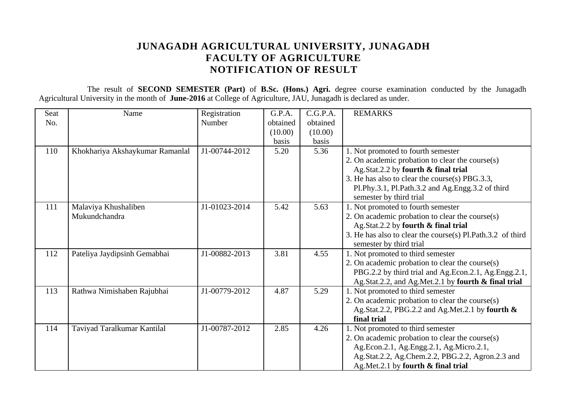## **JUNAGADH AGRICULTURAL UNIVERSITY, JUNAGADH FACULTY OF AGRICULTURE NOTIFICATION OF RESULT**

The result of **SECOND SEMESTER (Part)** of **B.Sc. (Hons.) Agri.** degree course examination conducted by the Junagadh Agricultural University in the month of **June-2016** at College of Agriculture, JAU, Junagadh is declared as under.

| <b>Seat</b> | Name                            | Registration  | G.P.A.   | C.G.P.A. | <b>REMARKS</b>                                             |
|-------------|---------------------------------|---------------|----------|----------|------------------------------------------------------------|
| No.         |                                 | Number        | obtained | obtained |                                                            |
|             |                                 |               | (10.00)  | (10.00)  |                                                            |
|             |                                 |               | basis    | basis    |                                                            |
| 110         | Khokhariya Akshaykumar Ramanlal | J1-00744-2012 | 5.20     | 5.36     | 1. Not promoted to fourth semester                         |
|             |                                 |               |          |          | 2. On academic probation to clear the course(s)            |
|             |                                 |               |          |          | Ag.Stat.2.2 by fourth & final trial                        |
|             |                                 |               |          |          | 3. He has also to clear the course(s) PBG.3.3,             |
|             |                                 |               |          |          | Pl.Phy.3.1, Pl.Path.3.2 and Ag.Engg.3.2 of third           |
|             |                                 |               |          |          | semester by third trial                                    |
| 111         | Malaviya Khushaliben            | J1-01023-2014 | 5.42     | 5.63     | 1. Not promoted to fourth semester                         |
|             | Mukundchandra                   |               |          |          | 2. On academic probation to clear the course(s)            |
|             |                                 |               |          |          | Ag.Stat.2.2 by fourth & final trial                        |
|             |                                 |               |          |          | 3. He has also to clear the course(s) Pl.Path.3.2 of third |
|             |                                 |               |          |          | semester by third trial                                    |
| 112         | Pateliya Jaydipsinh Gemabhai    | J1-00882-2013 | 3.81     | 4.55     | 1. Not promoted to third semester                          |
|             |                                 |               |          |          | 2. On academic probation to clear the course(s)            |
|             |                                 |               |          |          | PBG.2.2 by third trial and Ag.Econ.2.1, Ag.Engg.2.1,       |
|             |                                 |               |          |          | Ag.Stat.2.2, and Ag.Met.2.1 by fourth & final trial        |
| 113         | Rathwa Nimishaben Rajubhai      | J1-00779-2012 | 4.87     | 5.29     | 1. Not promoted to third semester                          |
|             |                                 |               |          |          | 2. On academic probation to clear the course(s)            |
|             |                                 |               |          |          | Ag.Stat.2.2, PBG.2.2 and Ag.Met.2.1 by fourth &            |
|             |                                 |               |          |          | final trial                                                |
| 114         | Taviyad Taralkumar Kantilal     | J1-00787-2012 | 2.85     | 4.26     | 1. Not promoted to third semester                          |
|             |                                 |               |          |          | 2. On academic probation to clear the course(s)            |
|             |                                 |               |          |          | Ag.Econ.2.1, Ag.Engg.2.1, Ag.Micro.2.1,                    |
|             |                                 |               |          |          | Ag.Stat.2.2, Ag.Chem.2.2, PBG.2.2, Agron.2.3 and           |
|             |                                 |               |          |          | Ag.Met.2.1 by fourth & final trial                         |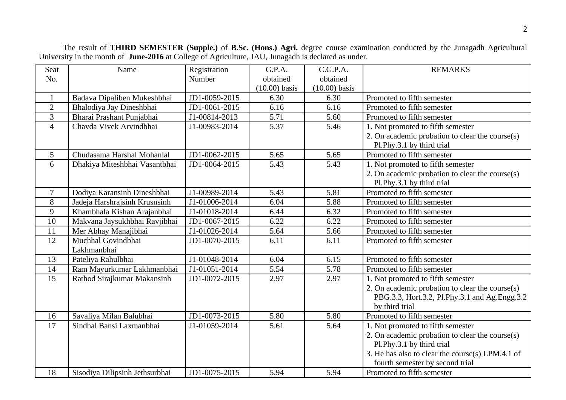| Seat           | Name                           | Registration  | G.P.A.          | C.G.P.A.        | <b>REMARKS</b>                                   |
|----------------|--------------------------------|---------------|-----------------|-----------------|--------------------------------------------------|
| No.            |                                | Number        | obtained        | obtained        |                                                  |
|                |                                |               | $(10.00)$ basis | $(10.00)$ basis |                                                  |
| $\mathbf{1}$   | Badava Dipaliben Mukeshbhai    | JD1-0059-2015 | 6.30            | 6.30            | Promoted to fifth semester                       |
| $\overline{2}$ | Bhalodiya Jay Dineshbhai       | JD1-0061-2015 | 6.16            | 6.16            | Promoted to fifth semester                       |
| 3              | Bharai Prashant Punjabhai      | J1-00814-2013 | 5.71            | 5.60            | Promoted to fifth semester                       |
| $\overline{4}$ | Chavda Vivek Arvindbhai        | J1-00983-2014 | 5.37            | 5.46            | 1. Not promoted to fifth semester                |
|                |                                |               |                 |                 | 2. On academic probation to clear the course(s)  |
|                |                                |               |                 |                 | Pl.Phy.3.1 by third trial                        |
| 5              | Chudasama Harshal Mohanlal     | JD1-0062-2015 | 5.65            | 5.65            | Promoted to fifth semester                       |
| 6              | Dhakiya Miteshbhai Vasantbhai  | JD1-0064-2015 | 5.43            | 5.43            | 1. Not promoted to fifth semester                |
|                |                                |               |                 |                 | 2. On academic probation to clear the course(s)  |
|                |                                |               |                 |                 | Pl.Phy.3.1 by third trial                        |
| $\overline{7}$ | Dodiya Karansinh Dineshbhai    | J1-00989-2014 | 5.43            | 5.81            | Promoted to fifth semester                       |
| 8              | Jadeja Harshrajsinh Krusnsinh  | J1-01006-2014 | 6.04            | 5.88            | Promoted to fifth semester                       |
| 9              | Khambhala Kishan Arajanbhai    | J1-01018-2014 | 6.44            | 6.32            | Promoted to fifth semester                       |
| 10             | Makvana Jaysukhbhai Ravjibhai  | JD1-0067-2015 | 6.22            | 6.22            | Promoted to fifth semester                       |
| 11             | Mer Abhay Manajibhai           | J1-01026-2014 | 5.64            | 5.66            | Promoted to fifth semester                       |
| 12             | Muchhal Govindbhai             | JD1-0070-2015 | 6.11            | 6.11            | Promoted to fifth semester                       |
|                | Lakhmanbhai                    |               |                 |                 |                                                  |
| 13             | Pateliya Rahulbhai             | J1-01048-2014 | 6.04            | 6.15            | Promoted to fifth semester                       |
| 14             | Ram Mayurkumar Lakhmanbhai     | J1-01051-2014 | 5.54            | 5.78            | Promoted to fifth semester                       |
| 15             | Rathod Sirajkumar Makansinh    | JD1-0072-2015 | 2.97            | 2.97            | 1. Not promoted to fifth semester                |
|                |                                |               |                 |                 | 2. On academic probation to clear the course(s)  |
|                |                                |               |                 |                 | PBG.3.3, Hort.3.2, Pl.Phy.3.1 and Ag.Engg.3.2    |
|                |                                |               |                 |                 | by third trial                                   |
| 16             | Savaliya Milan Balubhai        | JD1-0073-2015 | 5.80            | 5.80            | Promoted to fifth semester                       |
| 17             | Sindhal Bansi Laxmanbhai       | J1-01059-2014 | 5.61            | 5.64            | 1. Not promoted to fifth semester                |
|                |                                |               |                 |                 | 2. On academic probation to clear the course(s)  |
|                |                                |               |                 |                 | Pl.Phy.3.1 by third trial                        |
|                |                                |               |                 |                 | 3. He has also to clear the course(s) LPM.4.1 of |
|                |                                |               |                 |                 | fourth semester by second trial                  |
| 18             | Sisodiya Dilipsinh Jethsurbhai | JD1-0075-2015 | 5.94            | 5.94            | Promoted to fifth semester                       |

The result of **THIRD SEMESTER (Supple.)** of **B.Sc. (Hons.) Agri.** degree course examination conducted by the Junagadh Agricultural University in the month of **June-2016** at College of Agriculture, JAU, Junagadh is declared as under.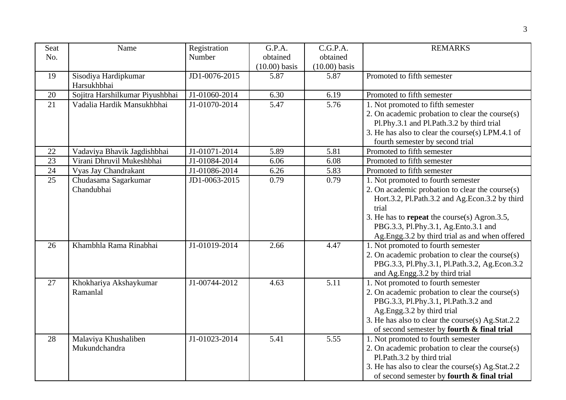| Seat<br>No. | Name                                  | Registration<br>Number | G.P.A.<br>obtained | C.G.P.A.<br>obtained | <b>REMARKS</b>                                                                                                                                                                                                                                                                             |
|-------------|---------------------------------------|------------------------|--------------------|----------------------|--------------------------------------------------------------------------------------------------------------------------------------------------------------------------------------------------------------------------------------------------------------------------------------------|
|             |                                       |                        | $(10.00)$ basis    | $(10.00)$ basis      |                                                                                                                                                                                                                                                                                            |
| 19          | Sisodiya Hardipkumar<br>Harsukhbhai   | JD1-0076-2015          | 5.87               | 5.87                 | Promoted to fifth semester                                                                                                                                                                                                                                                                 |
| 20          | Sojitra Harshilkumar Piyushbhai       | J1-01060-2014          | 6.30               | 6.19                 | Promoted to fifth semester                                                                                                                                                                                                                                                                 |
| 21          | Vadalia Hardik Mansukhbhai            | J1-01070-2014          | 5.47               | 5.76                 | 1. Not promoted to fifth semester<br>2. On academic probation to clear the course(s)<br>Pl.Phy.3.1 and Pl.Path.3.2 by third trial<br>3. He has also to clear the course(s) LPM.4.1 of<br>fourth semester by second trial                                                                   |
| 22          | Vadaviya Bhavik Jagdishbhai           | J1-01071-2014          | 5.89               | 5.81                 | Promoted to fifth semester                                                                                                                                                                                                                                                                 |
| 23          | Virani Dhruvil Mukeshbhai             | J1-01084-2014          | 6.06               | 6.08                 | Promoted to fifth semester                                                                                                                                                                                                                                                                 |
| 24          | Vyas Jay Chandrakant                  | J1-01086-2014          | 6.26               | 5.83                 | Promoted to fifth semester                                                                                                                                                                                                                                                                 |
| 25          | Chudasama Sagarkumar<br>Chandubhai    | JD1-0063-2015          | 0.79               | 0.79                 | 1. Not promoted to fourth semester<br>2. On academic probation to clear the course(s)<br>Hort.3.2, Pl.Path.3.2 and Ag.Econ.3.2 by third<br>trial<br>3. He has to repeat the course(s) Agron.3.5,<br>PBG.3.3, Pl.Phy.3.1, Ag.Ento.3.1 and<br>Ag.Engg.3.2 by third trial as and when offered |
| 26          | Khambhla Rama Rinabhai                | J1-01019-2014          | 2.66               | 4.47                 | 1. Not promoted to fourth semester<br>2. On academic probation to clear the course(s)<br>PBG.3.3, Pl.Phy.3.1, Pl.Path.3.2, Ag.Econ.3.2<br>and Ag.Engg.3.2 by third trial                                                                                                                   |
| 27          | Khokhariya Akshaykumar<br>Ramanlal    | J1-00744-2012          | 4.63               | 5.11                 | 1. Not promoted to fourth semester<br>2. On academic probation to clear the course(s)<br>PBG.3.3, Pl.Phy.3.1, Pl.Path.3.2 and<br>Ag.Engg.3.2 by third trial<br>3. He has also to clear the course(s) Ag.Stat.2.2<br>of second semester by fourth & final trial                             |
| 28          | Malaviya Khushaliben<br>Mukundchandra | J1-01023-2014          | 5.41               | 5.55                 | 1. Not promoted to fourth semester<br>2. On academic probation to clear the course(s)<br>Pl.Path.3.2 by third trial<br>3. He has also to clear the course(s) Ag.Stat.2.2<br>of second semester by fourth & final trial                                                                     |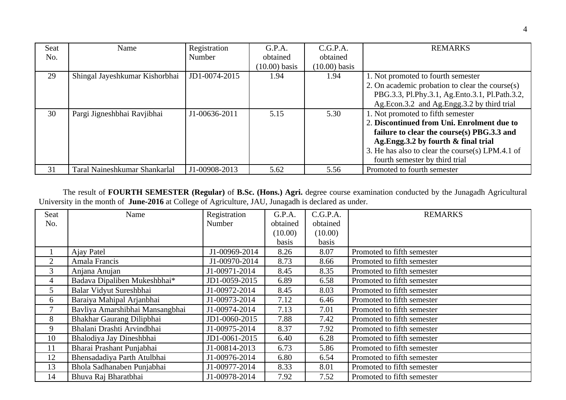| <b>Seat</b> | Name                           | Registration  | G.P.A.          | C.G.P.A.        | <b>REMARKS</b>                                   |
|-------------|--------------------------------|---------------|-----------------|-----------------|--------------------------------------------------|
| No.         |                                | Number        | obtained        | obtained        |                                                  |
|             |                                |               | $(10.00)$ basis | $(10.00)$ basis |                                                  |
| 29          | Shingal Jayeshkumar Kishorbhai | JD1-0074-2015 | 1.94            | 1.94            | 1. Not promoted to fourth semester               |
|             |                                |               |                 |                 | 2. On academic probation to clear the course(s)  |
|             |                                |               |                 |                 | PBG.3.3, Pl.Phy.3.1, Ag.Ento.3.1, Pl.Path.3.2,   |
|             |                                |               |                 |                 | Ag.Econ.3.2 and Ag.Engg.3.2 by third trial       |
| 30          | Pargi Jigneshbhai Ravjibhai    | J1-00636-2011 | 5.15            | 5.30            | 1. Not promoted to fifth semester                |
|             |                                |               |                 |                 | 2. Discontinued from Uni. Enrolment due to       |
|             |                                |               |                 |                 | failure to clear the course(s) PBG.3.3 and       |
|             |                                |               |                 |                 | Ag.Engg.3.2 by fourth & final trial              |
|             |                                |               |                 |                 | 3. He has also to clear the course(s) LPM.4.1 of |
|             |                                |               |                 |                 | fourth semester by third trial                   |
| 31          | Taral Naineshkumar Shankarlal  | J1-00908-2013 | 5.62            | 5.56            | Promoted to fourth semester                      |

The result of **FOURTH SEMESTER (Regular)** of **B.Sc. (Hons.) Agri.** degree course examination conducted by the Junagadh Agricultural University in the month of **June-2016** at College of Agriculture, JAU, Junagadh is declared as under.

| <b>Seat</b> | Name                            | Registration  | G.P.A.   | C.G.P.A. | <b>REMARKS</b>             |
|-------------|---------------------------------|---------------|----------|----------|----------------------------|
| No.         |                                 | Number        | obtained | obtained |                            |
|             |                                 |               | (10.00)  | (10.00)  |                            |
|             |                                 |               | basis    | basis    |                            |
|             | Ajay Patel                      | J1-00969-2014 | 8.26     | 8.07     | Promoted to fifth semester |
| 2           | Amala Francis                   | J1-00970-2014 | 8.73     | 8.66     | Promoted to fifth semester |
| 3           | Anjana Anujan                   | J1-00971-2014 | 8.45     | 8.35     | Promoted to fifth semester |
| 4           | Badava Dipaliben Mukeshbhai*    | JD1-0059-2015 | 6.89     | 6.58     | Promoted to fifth semester |
| 5           | Balar Vidyut Sureshbhai         | J1-00972-2014 | 8.45     | 8.03     | Promoted to fifth semester |
| 6           | Baraiya Mahipal Arjanbhai       | J1-00973-2014 | 7.12     | 6.46     | Promoted to fifth semester |
| 7           | Bavliya Amarshibhai Mansangbhai | J1-00974-2014 | 7.13     | 7.01     | Promoted to fifth semester |
| 8           | Bhakhar Gaurang Dilipbhai       | JD1-0060-2015 | 7.88     | 7.42     | Promoted to fifth semester |
| 9           | Bhalani Drashti Arvindbhai      | J1-00975-2014 | 8.37     | 7.92     | Promoted to fifth semester |
| 10          | Bhalodiya Jay Dineshbhai        | JD1-0061-2015 | 6.40     | 6.28     | Promoted to fifth semester |
| 11          | Bharai Prashant Punjabhai       | J1-00814-2013 | 6.73     | 5.86     | Promoted to fifth semester |
| 12          | Bhensadadiya Parth Atulbhai     | J1-00976-2014 | 6.80     | 6.54     | Promoted to fifth semester |
| 13          | Bhola Sadhanaben Punjabhai      | J1-00977-2014 | 8.33     | 8.01     | Promoted to fifth semester |
| 14          | Bhuva Raj Bharatbhai            | J1-00978-2014 | 7.92     | 7.52     | Promoted to fifth semester |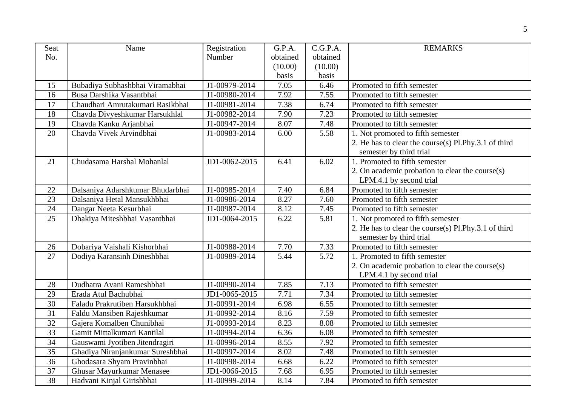| Seat            | Name                             | Registration  | G.P.A.   | C.G.P.A. | <b>REMARKS</b>                                       |  |
|-----------------|----------------------------------|---------------|----------|----------|------------------------------------------------------|--|
| No.             |                                  | Number        | obtained | obtained |                                                      |  |
|                 |                                  |               | (10.00)  | (10.00)  |                                                      |  |
|                 |                                  |               | basis    | basis    |                                                      |  |
| 15              | Bubadiya Subhashbhai Viramabhai  | J1-00979-2014 | 7.05     | 6.46     | Promoted to fifth semester                           |  |
| 16              | Busa Darshika Vasantbhai         | J1-00980-2014 | 7.92     | 7.55     | Promoted to fifth semester                           |  |
| 17              | Chaudhari Amrutakumari Rasikbhai | J1-00981-2014 | 7.38     | 6.74     | Promoted to fifth semester                           |  |
| 18              | Chavda Divyeshkumar Harsukhlal   | J1-00982-2014 | 7.90     | 7.23     | Promoted to fifth semester                           |  |
| 19              | Chavda Kanku Arjanbhai           | J1-00947-2014 | 8.07     | 7.48     | Promoted to fifth semester                           |  |
| 20              | Chavda Vivek Arvindbhai          | J1-00983-2014 | 6.00     | 5.58     | 1. Not promoted to fifth semester                    |  |
|                 |                                  |               |          |          | 2. He has to clear the course(s) Pl.Phy.3.1 of third |  |
|                 |                                  |               |          |          | semester by third trial                              |  |
| 21              | Chudasama Harshal Mohanlal       | JD1-0062-2015 | 6.41     | 6.02     | 1. Promoted to fifth semester                        |  |
|                 |                                  |               |          |          | 2. On academic probation to clear the course(s)      |  |
|                 |                                  |               |          |          | LPM.4.1 by second trial                              |  |
| 22              | Dalsaniya Adarshkumar Bhudarbhai | J1-00985-2014 | 7.40     | 6.84     | Promoted to fifth semester                           |  |
| 23              | Dalsaniya Hetal Mansukhbhai      | J1-00986-2014 | 8.27     | 7.60     | Promoted to fifth semester                           |  |
| 24              | Dangar Neeta Kesurbhai           | J1-00987-2014 | 8.12     | 7.45     | Promoted to fifth semester                           |  |
| 25              | Dhakiya Miteshbhai Vasantbhai    | JD1-0064-2015 | 6.22     | 5.81     | 1. Not promoted to fifth semester                    |  |
|                 |                                  |               |          |          | 2. He has to clear the course(s) Pl.Phy.3.1 of third |  |
|                 |                                  |               |          |          | semester by third trial                              |  |
| 26              | Dobariya Vaishali Kishorbhai     | J1-00988-2014 | 7.70     | 7.33     | Promoted to fifth semester                           |  |
| 27              | Dodiya Karansinh Dineshbhai      | J1-00989-2014 | 5.44     | 5.72     | 1. Promoted to fifth semester                        |  |
|                 |                                  |               |          |          | 2. On academic probation to clear the course(s)      |  |
|                 |                                  |               |          |          | LPM.4.1 by second trial                              |  |
| 28              | Dudhatra Avani Rameshbhai        | J1-00990-2014 | 7.85     | 7.13     | Promoted to fifth semester                           |  |
| 29              | Erada Atul Bachubhai             | JD1-0065-2015 | 7.71     | 7.34     | Promoted to fifth semester                           |  |
| $\overline{30}$ | Faladu Prakrutiben Harsukhbhai   | J1-00991-2014 | 6.98     | 6.55     | Promoted to fifth semester                           |  |
| 31              | Faldu Mansiben Rajeshkumar       | J1-00992-2014 | 8.16     | 7.59     | Promoted to fifth semester                           |  |
| $\overline{32}$ | Gajera Komalben Chunibhai        | J1-00993-2014 | 8.23     | 8.08     | Promoted to fifth semester                           |  |
| 33              | Gamit Mittalkumari Kantilal      | J1-00994-2014 | 6.36     | 6.08     | Promoted to fifth semester                           |  |
| 34              | Gauswami Jyotiben Jitendragiri   | J1-00996-2014 | 8.55     | 7.92     | Promoted to fifth semester                           |  |
| 35              | Ghadiya Niranjankumar Sureshbhai | J1-00997-2014 | 8.02     | 7.48     | Promoted to fifth semester                           |  |
| 36              | Ghodasara Shyam Pravinbhai       | J1-00998-2014 | 6.68     | 6.22     | Promoted to fifth semester                           |  |
| 37              | Ghusar Mayurkumar Menasee        | JD1-0066-2015 | 7.68     | 6.95     | Promoted to fifth semester                           |  |
| 38              | Hadvani Kinjal Girishbhai        | J1-00999-2014 | 8.14     | 7.84     | Promoted to fifth semester                           |  |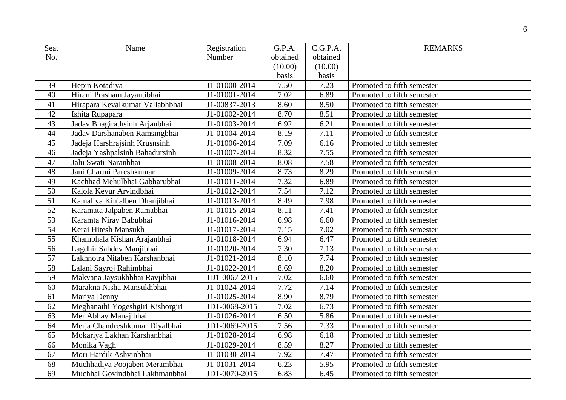| Seat            | Name                             | Registration  | G.P.A.   | C.G.P.A. | <b>REMARKS</b>             |
|-----------------|----------------------------------|---------------|----------|----------|----------------------------|
| No.             |                                  | Number        | obtained | obtained |                            |
|                 |                                  |               | (10.00)  | (10.00)  |                            |
|                 |                                  |               | basis    | basis    |                            |
| 39              | Hepin Kotadiya                   | J1-01000-2014 | 7.50     | 7.23     | Promoted to fifth semester |
| 40              | Hirani Prasham Jayantibhai       | J1-01001-2014 | 7.02     | 6.89     | Promoted to fifth semester |
| 41              | Hirapara Kevalkumar Vallabhbhai  | J1-00837-2013 | 8.60     | 8.50     | Promoted to fifth semester |
| 42              | Ishita Rupapara                  | J1-01002-2014 | 8.70     | 8.51     | Promoted to fifth semester |
| 43              | Jadav Bhagirathsinh Arjanbhai    | J1-01003-2014 | 6.92     | 6.21     | Promoted to fifth semester |
| 44              | Jadav Darshanaben Ramsingbhai    | J1-01004-2014 | 8.19     | 7.11     | Promoted to fifth semester |
| 45              | Jadeja Harshrajsinh Krusnsinh    | J1-01006-2014 | 7.09     | 6.16     | Promoted to fifth semester |
| 46              | Jadeja Yashpalsinh Bahadursinh   | J1-01007-2014 | 8.32     | 7.55     | Promoted to fifth semester |
| 47              | Jalu Swati Naranbhai             | J1-01008-2014 | 8.08     | 7.58     | Promoted to fifth semester |
| 48              | Jani Charmi Pareshkumar          | J1-01009-2014 | 8.73     | 8.29     | Promoted to fifth semester |
| 49              | Kachhad Mehulbhai Gabharubhai    | J1-01011-2014 | 7.32     | 6.89     | Promoted to fifth semester |
| 50              | Kalola Keyur Arvindbhai          | J1-01012-2014 | 7.54     | 7.12     | Promoted to fifth semester |
| 51              | Kamaliya Kinjalben Dhanjibhai    | J1-01013-2014 | 8.49     | 7.98     | Promoted to fifth semester |
| 52              | Karamata Jalpaben Ramabhai       | J1-01015-2014 | 8.11     | 7.41     | Promoted to fifth semester |
| 53              | Karamta Nirav Babubhai           | J1-01016-2014 | 6.98     | 6.60     | Promoted to fifth semester |
| 54              | Kerai Hitesh Mansukh             | J1-01017-2014 | 7.15     | 7.02     | Promoted to fifth semester |
| 55              | Khambhala Kishan Arajanbhai      | J1-01018-2014 | 6.94     | 6.47     | Promoted to fifth semester |
| $\overline{56}$ | Lagdhir Sahdev Manjibhai         | J1-01020-2014 | 7.30     | 7.13     | Promoted to fifth semester |
| 57              | Lakhnotra Nitaben Karshanbhai    | J1-01021-2014 | 8.10     | 7.74     | Promoted to fifth semester |
| 58              | Lalani Sayroj Rahimbhai          | J1-01022-2014 | 8.69     | 8.20     | Promoted to fifth semester |
| 59              | Makvana Jaysukhbhai Ravjibhai    | JD1-0067-2015 | 7.02     | 6.60     | Promoted to fifth semester |
| 60              | Marakna Nisha Mansukhbhai        | J1-01024-2014 | 7.72     | 7.14     | Promoted to fifth semester |
| 61              | Mariya Denny                     | J1-01025-2014 | 8.90     | 8.79     | Promoted to fifth semester |
| 62              | Meghanathi Yogeshgiri Kishorgiri | JD1-0068-2015 | 7.02     | 6.73     | Promoted to fifth semester |
| 63              | Mer Abhay Manajibhai             | J1-01026-2014 | 6.50     | 5.86     | Promoted to fifth semester |
| 64              | Merja Chandreshkumar Diyalbhai   | JD1-0069-2015 | 7.56     | 7.33     | Promoted to fifth semester |
| 65              | Mokariya Lakhan Karshanbhai      | J1-01028-2014 | 6.98     | 6.18     | Promoted to fifth semester |
| 66              | Monika Vagh                      | J1-01029-2014 | 8.59     | 8.27     | Promoted to fifth semester |
| 67              | Mori Hardik Ashvinbhai           | J1-01030-2014 | 7.92     | 7.47     | Promoted to fifth semester |
| 68              | Muchhadiya Poojaben Merambhai    | J1-01031-2014 | 6.23     | 5.95     | Promoted to fifth semester |
| 69              | Muchhal Govindbhai Lakhmanbhai   | JD1-0070-2015 | 6.83     | 6.45     | Promoted to fifth semester |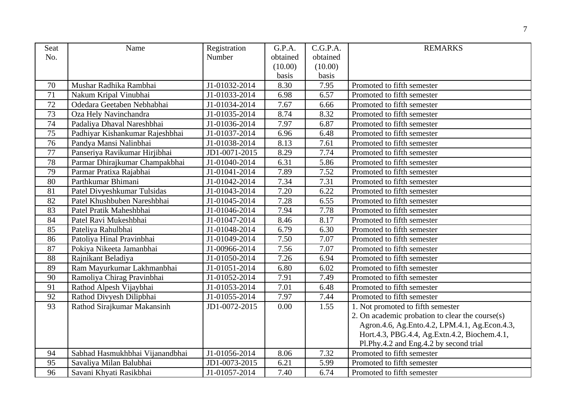| Seat            | Name                            | Registration  | G.P.A.   | C.G.P.A. | <b>REMARKS</b>                                  |
|-----------------|---------------------------------|---------------|----------|----------|-------------------------------------------------|
| No.             |                                 | Number        | obtained | obtained |                                                 |
|                 |                                 |               | (10.00)  | (10.00)  |                                                 |
|                 |                                 |               | basis    | basis    |                                                 |
| 70              | Mushar Radhika Rambhai          | J1-01032-2014 | 8.30     | 7.95     | Promoted to fifth semester                      |
| $\overline{71}$ | Nakum Kripal Vinubhai           | J1-01033-2014 | 6.98     | 6.57     | Promoted to fifth semester                      |
| 72              | Odedara Geetaben Nebhabhai      | J1-01034-2014 | 7.67     | 6.66     | Promoted to fifth semester                      |
| 73              | Oza Hely Navinchandra           | J1-01035-2014 | 8.74     | 8.32     | Promoted to fifth semester                      |
| 74              | Padaliya Dhaval Nareshbhai      | J1-01036-2014 | 7.97     | 6.87     | Promoted to fifth semester                      |
| 75              | Padhiyar Kishankumar Rajeshbhai | J1-01037-2014 | 6.96     | 6.48     | Promoted to fifth semester                      |
| 76              | Pandya Mansi Nalinbhai          | J1-01038-2014 | 8.13     | 7.61     | Promoted to fifth semester                      |
| 77              | Panseriya Ravikumar Hirjibhai   | JD1-0071-2015 | 8.29     | 7.74     | Promoted to fifth semester                      |
| 78              | Parmar Dhirajkumar Champakbhai  | J1-01040-2014 | 6.31     | 5.86     | Promoted to fifth semester                      |
| 79              | Parmar Pratixa Rajabhai         | J1-01041-2014 | 7.89     | 7.52     | Promoted to fifth semester                      |
| 80              | Parthkumar Bhimani              | J1-01042-2014 | 7.34     | 7.31     | Promoted to fifth semester                      |
| 81              | Patel Divyeshkumar Tulsidas     | J1-01043-2014 | 7.20     | 6.22     | Promoted to fifth semester                      |
| 82              | Patel Khushbuben Nareshbhai     | J1-01045-2014 | 7.28     | 6.55     | Promoted to fifth semester                      |
| 83              | Patel Pratik Maheshbhai         | J1-01046-2014 | 7.94     | 7.78     | Promoted to fifth semester                      |
| 84              | Patel Ravi Mukeshbhai           | J1-01047-2014 | 8.46     | 8.17     | Promoted to fifth semester                      |
| 85              | Pateliya Rahulbhai              | J1-01048-2014 | 6.79     | 6.30     | Promoted to fifth semester                      |
| $\overline{86}$ | Patoliya Hinal Pravinbhai       | J1-01049-2014 | 7.50     | 7.07     | Promoted to fifth semester                      |
| 87              | Pokiya Nikeeta Jamanbhai        | J1-00966-2014 | 7.56     | 7.07     | Promoted to fifth semester                      |
| 88              | Rajnikant Beladiya              | J1-01050-2014 | 7.26     | 6.94     | Promoted to fifth semester                      |
| 89              | Ram Mayurkumar Lakhmanbhai      | J1-01051-2014 | 6.80     | 6.02     | Promoted to fifth semester                      |
| 90              | Ramoliya Chirag Pravinbhai      | J1-01052-2014 | 7.91     | 7.49     | Promoted to fifth semester                      |
| 91              | Rathod Alpesh Vijaybhai         | J1-01053-2014 | 7.01     | 6.48     | Promoted to fifth semester                      |
| 92              | Rathod Divyesh Dilipbhai        | J1-01055-2014 | 7.97     | 7.44     | Promoted to fifth semester                      |
| 93              | Rathod Sirajkumar Makansinh     | JD1-0072-2015 | 0.00     | 1.55     | 1. Not promoted to fifth semester               |
|                 |                                 |               |          |          | 2. On academic probation to clear the course(s) |
|                 |                                 |               |          |          | Agron.4.6, Ag.Ento.4.2, LPM.4.1, Ag.Econ.4.3,   |
|                 |                                 |               |          |          | Hort.4.3, PBG.4.4, Ag.Extn.4.2, Biochem.4.1,    |
|                 |                                 |               |          |          | Pl.Phy.4.2 and Eng.4.2 by second trial          |
| 94              | Sabhad Hasmukhbhai Vijanandbhai | J1-01056-2014 | 8.06     | 7.32     | Promoted to fifth semester                      |
| 95              | Savaliya Milan Balubhai         | JD1-0073-2015 | 6.21     | 5.99     | Promoted to fifth semester                      |
| 96              | Savani Khyati Rasikbhai         | J1-01057-2014 | 7.40     | 6.74     | Promoted to fifth semester                      |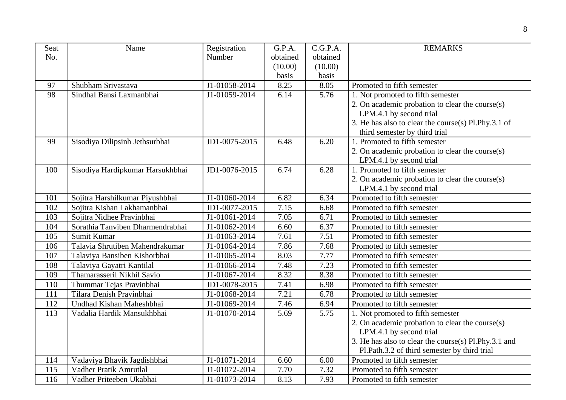| Seat | Name                             | Registration  | G.P.A.   | C.G.P.A. | <b>REMARKS</b>                                       |  |
|------|----------------------------------|---------------|----------|----------|------------------------------------------------------|--|
| No.  |                                  | Number        | obtained | obtained |                                                      |  |
|      |                                  |               | (10.00)  | (10.00)  |                                                      |  |
|      |                                  |               | basis    | basis    |                                                      |  |
| 97   | Shubham Srivastava               | J1-01058-2014 | 8.25     | 8.05     | Promoted to fifth semester                           |  |
| 98   | Sindhal Bansi Laxmanbhai         | J1-01059-2014 | 6.14     | 5.76     | 1. Not promoted to fifth semester                    |  |
|      |                                  |               |          |          | 2. On academic probation to clear the course(s)      |  |
|      |                                  |               |          |          | LPM.4.1 by second trial                              |  |
|      |                                  |               |          |          | 3. He has also to clear the course(s) Pl.Phy.3.1 of  |  |
|      |                                  |               |          |          | third semester by third trial                        |  |
| 99   | Sisodiya Dilipsinh Jethsurbhai   | JD1-0075-2015 | 6.48     | 6.20     | 1. Promoted to fifth semester                        |  |
|      |                                  |               |          |          | 2. On academic probation to clear the course(s)      |  |
|      |                                  |               |          |          | LPM.4.1 by second trial                              |  |
| 100  | Sisodiya Hardipkumar Harsukhbhai | JD1-0076-2015 | 6.74     | 6.28     | 1. Promoted to fifth semester                        |  |
|      |                                  |               |          |          | 2. On academic probation to clear the course(s)      |  |
|      |                                  |               |          |          | LPM.4.1 by second trial                              |  |
| 101  | Sojitra Harshilkumar Piyushbhai  | J1-01060-2014 | 6.82     | 6.34     | Promoted to fifth semester                           |  |
| 102  | Sojitra Kishan Lakhamanbhai      | JD1-0077-2015 | 7.15     | 6.68     | Promoted to fifth semester                           |  |
| 103  | Sojitra Nidhee Pravinbhai        | J1-01061-2014 | 7.05     | 6.71     | Promoted to fifth semester                           |  |
| 104  | Sorathia Tanviben Dharmendrabhai | J1-01062-2014 | 6.60     | 6.37     | Promoted to fifth semester                           |  |
| 105  | Sumit Kumar                      | J1-01063-2014 | 7.61     | 7.51     | Promoted to fifth semester                           |  |
| 106  | Talavia Shrutiben Mahendrakumar  | J1-01064-2014 | 7.86     | 7.68     | Promoted to fifth semester                           |  |
| 107  | Talaviya Bansiben Kishorbhai     | J1-01065-2014 | 8.03     | 7.77     | Promoted to fifth semester                           |  |
| 108  | Talaviya Gayatri Kantilal        | J1-01066-2014 | 7.48     | 7.23     | Promoted to fifth semester                           |  |
| 109  | Thamarasseril Nikhil Savio       | J1-01067-2014 | 8.32     | 8.38     | Promoted to fifth semester                           |  |
| 110  | Thummar Tejas Pravinbhai         | JD1-0078-2015 | 7.41     | 6.98     | Promoted to fifth semester                           |  |
| 111  | Tilara Denish Pravinbhai         | J1-01068-2014 | 7.21     | 6.78     | Promoted to fifth semester                           |  |
| 112  | Undhad Kishan Maheshbhai         | J1-01069-2014 | 7.46     | 6.94     | Promoted to fifth semester                           |  |
| 113  | Vadalia Hardik Mansukhbhai       | J1-01070-2014 | 5.69     | 5.75     | 1. Not promoted to fifth semester                    |  |
|      |                                  |               |          |          | 2. On academic probation to clear the course(s)      |  |
|      |                                  |               |          |          | LPM.4.1 by second trial                              |  |
|      |                                  |               |          |          | 3. He has also to clear the course(s) Pl.Phy.3.1 and |  |
|      |                                  |               |          |          | Pl.Path.3.2 of third semester by third trial         |  |
| 114  | Vadaviya Bhavik Jagdishbhai      | J1-01071-2014 | 6.60     | 6.00     | Promoted to fifth semester                           |  |
| 115  | Vadher Pratik Amrutlal           | J1-01072-2014 | 7.70     | 7.32     | Promoted to fifth semester                           |  |
| 116  | Vadher Priteeben Ukabhai         | J1-01073-2014 | 8.13     | 7.93     | Promoted to fifth semester                           |  |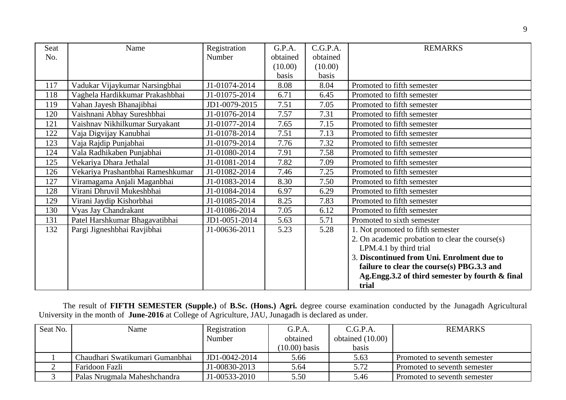| Seat | Name                              | Registration  | G.P.A.   | C.G.P.A. | <b>REMARKS</b>                                  |
|------|-----------------------------------|---------------|----------|----------|-------------------------------------------------|
| No.  |                                   | Number        | obtained | obtained |                                                 |
|      |                                   |               | (10.00)  | (10.00)  |                                                 |
|      |                                   |               | basis    | basis    |                                                 |
| 117  | Vadukar Vijaykumar Narsingbhai    | J1-01074-2014 | 8.08     | 8.04     | Promoted to fifth semester                      |
| 118  | Vaghela Hardikkumar Prakashbhai   | J1-01075-2014 | 6.71     | 6.45     | Promoted to fifth semester                      |
| 119  | Vahan Jayesh Bhanajibhai          | JD1-0079-2015 | 7.51     | 7.05     | Promoted to fifth semester                      |
| 120  | Vaishnani Abhay Sureshbhai        | J1-01076-2014 | 7.57     | 7.31     | Promoted to fifth semester                      |
| 121  | Vaishnav Nikhilkumar Suryakant    | J1-01077-2014 | 7.65     | 7.15     | Promoted to fifth semester                      |
| 122  | Vaja Digvijay Kanubhai            | J1-01078-2014 | 7.51     | 7.13     | Promoted to fifth semester                      |
| 123  | Vaja Rajdip Punjabhai             | J1-01079-2014 | 7.76     | 7.32     | Promoted to fifth semester                      |
| 124  | Vala Radhikaben Punjabhai         | J1-01080-2014 | 7.91     | 7.58     | Promoted to fifth semester                      |
| 125  | Vekariya Dhara Jethalal           | J1-01081-2014 | 7.82     | 7.09     | Promoted to fifth semester                      |
| 126  | Vekariya Prashantbhai Rameshkumar | J1-01082-2014 | 7.46     | 7.25     | Promoted to fifth semester                      |
| 127  | Viramagama Anjali Maganbhai       | J1-01083-2014 | 8.30     | 7.50     | Promoted to fifth semester                      |
| 128  | Virani Dhruvil Mukeshbhai         | J1-01084-2014 | 6.97     | 6.29     | Promoted to fifth semester                      |
| 129  | Virani Jaydip Kishorbhai          | J1-01085-2014 | 8.25     | 7.83     | Promoted to fifth semester                      |
| 130  | Vyas Jay Chandrakant              | J1-01086-2014 | 7.05     | 6.12     | Promoted to fifth semester                      |
| 131  | Patel Harshkumar Bhagavatibhai    | JD1-0051-2014 | 5.63     | 5.71     | Promoted to sixth semester                      |
| 132  | Pargi Jigneshbhai Ravjibhai       | J1-00636-2011 | 5.23     | 5.28     | 1. Not promoted to fifth semester               |
|      |                                   |               |          |          | 2. On academic probation to clear the course(s) |
|      |                                   |               |          |          | LPM.4.1 by third trial                          |
|      |                                   |               |          |          | 3. Discontinued from Uni. Enrolment due to      |
|      |                                   |               |          |          | failure to clear the course(s) PBG.3.3 and      |
|      |                                   |               |          |          | Ag.Engg.3.2 of third semester by fourth & final |
|      |                                   |               |          |          | trial                                           |

The result of **FIFTH SEMESTER (Supple.)** of **B.Sc. (Hons.) Agri.** degree course examination conducted by the Junagadh Agricultural University in the month of **June-2016** at College of Agriculture, JAU, Junagadh is declared as under.

| Seat No. | Name                            | Registration  | G.P.A.          | C.G.P.A.         | REMARKS                      |
|----------|---------------------------------|---------------|-----------------|------------------|------------------------------|
|          |                                 | Number        | obtained        | obtained (10.00) |                              |
|          |                                 |               | $(10.00)$ basis | basis            |                              |
|          | Chaudhari Swatikumari Gumanbhai | JD1-0042-2014 | 5.66            | 5.63             | Promoted to seventh semester |
|          | Faridoon Fazli                  | J1-00830-2013 | 5.64            | 5.72             | Promoted to seventh semester |
|          | Palas Nrugmala Maheshchandra    | J1-00533-2010 | 5.50            | 5.46             | Promoted to seventh semester |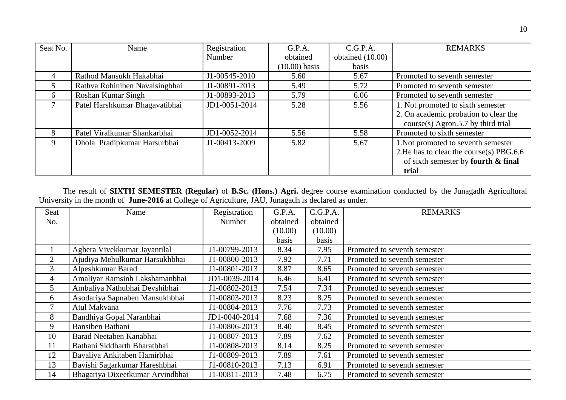| Seat No.        | Name                           | Registration  | G.P.A.          | C.G.P.A.         | <b>REMARKS</b>                           |
|-----------------|--------------------------------|---------------|-----------------|------------------|------------------------------------------|
|                 |                                | Number        | obtained        | obtained (10.00) |                                          |
|                 |                                |               | $(10.00)$ basis | basis            |                                          |
| 4               | Rathod Mansukh Hakabhai        | J1-00545-2010 | 5.60            | 5.67             | Promoted to seventh semester             |
| 5               | Rathva Rohiniben Navalsingbhai | J1-00891-2013 | 5.49            | 5.72             | Promoted to seventh semester             |
| 6               | Roshan Kumar Singh             | J1-00893-2013 | 5.79            | 6.06             | Promoted to seventh semester             |
| $7\overline{ }$ | Patel Harshkumar Bhagavatibhai | JD1-0051-2014 | 5.28            | 5.56             | 1. Not promoted to sixth semester        |
|                 |                                |               |                 |                  | 2. On academic probation to clear the    |
|                 |                                |               |                 |                  | course(s) Agron.5.7 by third trial       |
| 8               | Patel Viralkumar Shankarbhai   | JD1-0052-2014 | 5.56            | 5.58             | Promoted to sixth semester               |
| 9               | Dhola Pradipkumar Harsurbhai   | J1-00413-2009 | 5.82            | 5.67             | 1. Not promoted to seventh semester      |
|                 |                                |               |                 |                  | 2. He has to clear the course(s) PBG.6.6 |
|                 |                                |               |                 |                  | of sixth semester by fourth & final      |
|                 |                                |               |                 |                  | trial                                    |

The result of **SIXTH SEMESTER (Regular)** of **B.Sc. (Hons.) Agri.** degree course examination conducted by the Junagadh Agricultural University in the month of **June-2016** at College of Agriculture, JAU, Junagadh is declared as under.

| <b>Seat</b> | Name                             | Registration  | G.P.A.   | C.G.P.A. | <b>REMARKS</b>               |
|-------------|----------------------------------|---------------|----------|----------|------------------------------|
| No.         |                                  | <b>Number</b> | obtained | obtained |                              |
|             |                                  |               | (10.00)  | (10.00)  |                              |
|             |                                  |               | basis    | basis    |                              |
|             | Aghera Vivekkumar Jayantilal     | J1-00799-2013 | 8.34     | 7.95     | Promoted to seventh semester |
| 2           | Ajudiya Mehulkumar Harsukhbhai   | J1-00800-2013 | 7.92     | 7.71     | Promoted to seventh semester |
| 3           | Alpeshkumar Barad                | J1-00801-2013 | 8.87     | 8.65     | Promoted to seventh semester |
| 4           | Amaliyar Ramsinh Lakshamanbhai   | JD1-0039-2014 | 6.46     | 6.41     | Promoted to seventh semester |
| 5           | Ambaliya Nathubhai Devshibhai    | J1-00802-2013 | 7.54     | 7.34     | Promoted to seventh semester |
| 6           | Asodariya Sapnaben Mansukhbhai   | J1-00803-2013 | 8.23     | 8.25     | Promoted to seventh semester |
| 7           | Atul Makvana                     | J1-00804-2013 | 7.76     | 7.73     | Promoted to seventh semester |
| 8           | Bandhiya Gopal Naranbhai         | JD1-0040-2014 | 7.68     | 7.36     | Promoted to seventh semester |
| 9           | Bansiben Bathani                 | J1-00806-2013 | 8.40     | 8.45     | Promoted to seventh semester |
| 10          | Barad Neetaben Kanabhai          | J1-00807-2013 | 7.89     | 7.62     | Promoted to seventh semester |
| 11          | Bathani Siddharth Bharatbhai     | J1-00808-2013 | 8.14     | 8.25     | Promoted to seventh semester |
| 12          | Bavaliya Ankitaben Hamirbhai     | J1-00809-2013 | 7.89     | 7.61     | Promoted to seventh semester |
| 13          | Bavishi Sagarkumar Hareshbhai    | J1-00810-2013 | 7.13     | 6.91     | Promoted to seventh semester |
| 14          | Bhagariya Dixeetkumar Arvindbhai | J1-00811-2013 | 7.48     | 6.75     | Promoted to seventh semester |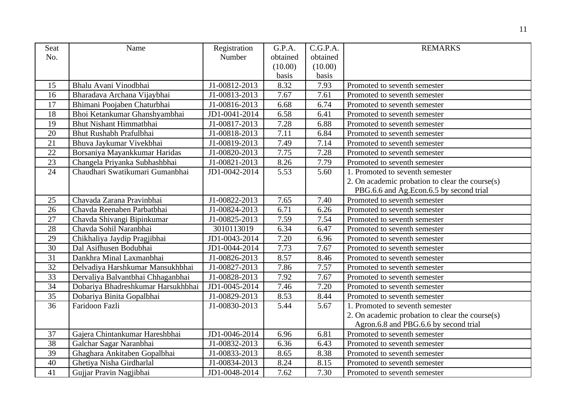| Seat            | Name                               | Registration  | G.P.A.   | C.G.P.A. | <b>REMARKS</b>                                  |
|-----------------|------------------------------------|---------------|----------|----------|-------------------------------------------------|
| No.             |                                    | Number        | obtained | obtained |                                                 |
|                 |                                    |               | (10.00)  | (10.00)  |                                                 |
|                 |                                    |               | basis    | basis    |                                                 |
| 15              | Bhalu Avani Vinodbhai              | J1-00812-2013 | 8.32     | 7.93     | Promoted to seventh semester                    |
| 16              | Bharadava Archana Vijaybhai        | J1-00813-2013 | 7.67     | 7.61     | Promoted to seventh semester                    |
| 17              | Bhimani Poojaben Chaturbhai        | J1-00816-2013 | 6.68     | 6.74     | Promoted to seventh semester                    |
| 18              | Bhoi Ketankumar Ghanshyambhai      | JD1-0041-2014 | 6.58     | 6.41     | Promoted to seventh semester                    |
| 19              | Bhut Nishant Himmatbhai            | J1-00817-2013 | 7.28     | 6.88     | Promoted to seventh semester                    |
| 20              | Bhut Rushabh Prafulbhai            | J1-00818-2013 | 7.11     | 6.84     | Promoted to seventh semester                    |
| 21              | Bhuva Jaykumar Vivekbhai           | J1-00819-2013 | 7.49     | 7.14     | Promoted to seventh semester                    |
| 22              | Borsaniya Mayankkumar Haridas      | J1-00820-2013 | 7.75     | 7.28     | Promoted to seventh semester                    |
| 23              | Changela Priyanka Subhashbhai      | J1-00821-2013 | 8.26     | 7.79     | Promoted to seventh semester                    |
| $\overline{24}$ | Chaudhari Swatikumari Gumanbhai    | JD1-0042-2014 | 5.53     | 5.60     | 1. Promoted to seventh semester                 |
|                 |                                    |               |          |          | 2. On academic probation to clear the course(s) |
|                 |                                    |               |          |          | PBG.6.6 and Ag.Econ.6.5 by second trial         |
| 25              | Chavada Zarana Pravinbhai          | J1-00822-2013 | 7.65     | 7.40     | Promoted to seventh semester                    |
| 26              | Chavda Reenaben Parbatbhai         | J1-00824-2013 | 6.71     | 6.26     | Promoted to seventh semester                    |
| 27              | Chavda Shivangi Bipinkumar         | J1-00825-2013 | 7.59     | 7.54     | Promoted to seventh semester                    |
| 28              | Chavda Sohil Naranbhai             | 3010113019    | 6.34     | 6.47     | Promoted to seventh semester                    |
| 29              | Chikhaliya Jaydip Pragjibhai       | JD1-0043-2014 | 7.20     | 6.96     | Promoted to seventh semester                    |
| 30              | Dal Asifhusen Bodubhai             | JD1-0044-2014 | 7.73     | 7.67     | Promoted to seventh semester                    |
| 31              | Dankhra Minal Laxmanbhai           | J1-00826-2013 | 8.57     | 8.46     | Promoted to seventh semester                    |
| $\overline{32}$ | Delvadiya Harshkumar Mansukhbhai   | J1-00827-2013 | 7.86     | 7.57     | Promoted to seventh semester                    |
| 33              | Dervaliya Balvantbhai Chhaganbhai  | J1-00828-2013 | 7.92     | 7.67     | Promoted to seventh semester                    |
| 34              | Dobariya Bhadreshkumar Harsukhbhai | JD1-0045-2014 | 7.46     | 7.20     | Promoted to seventh semester                    |
| 35              | Dobariya Binita Gopalbhai          | J1-00829-2013 | 8.53     | 8.44     | Promoted to seventh semester                    |
| 36              | Faridoon Fazli                     | J1-00830-2013 | 5.44     | 5.67     | 1. Promoted to seventh semester                 |
|                 |                                    |               |          |          | 2. On academic probation to clear the course(s) |
|                 |                                    |               |          |          | Agron.6.8 and PBG.6.6 by second trial           |
| 37              | Gajera Chintankumar Hareshbhai     | JD1-0046-2014 | 6.96     | 6.81     | Promoted to seventh semester                    |
| $\overline{38}$ | Galchar Sagar Naranbhai            | J1-00832-2013 | 6.36     | 6.43     | Promoted to seventh semester                    |
| 39              | Ghaghara Ankitaben Gopalbhai       | J1-00833-2013 | 8.65     | 8.38     | Promoted to seventh semester                    |
| 40              | Ghetiya Nisha Girdharlal           | J1-00834-2013 | 8.24     | 8.15     | Promoted to seventh semester                    |
| 41              | Gujjar Pravin Nagjibhai            | JD1-0048-2014 | 7.62     | 7.30     | Promoted to seventh semester                    |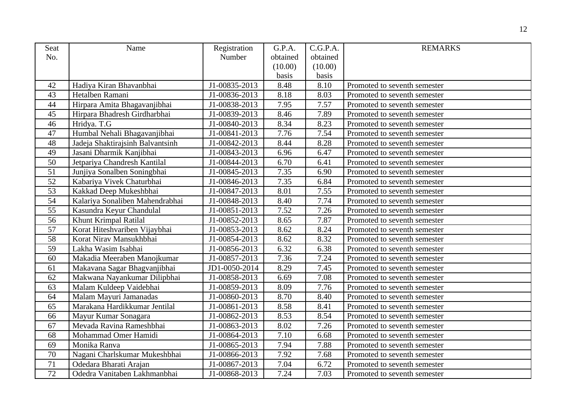| <b>Seat</b>     | Name                             | Registration  | G.P.A.   | C.G.P.A. | <b>REMARKS</b>               |
|-----------------|----------------------------------|---------------|----------|----------|------------------------------|
| No.             |                                  | Number        | obtained | obtained |                              |
|                 |                                  |               | (10.00)  | (10.00)  |                              |
|                 |                                  |               | basis    | basis    |                              |
| 42              | Hadiya Kiran Bhavanbhai          | J1-00835-2013 | 8.48     | 8.10     | Promoted to seventh semester |
| 43              | Hetalben Ramani                  | J1-00836-2013 | 8.18     | 8.03     | Promoted to seventh semester |
| 44              | Hirpara Amita Bhagavanjibhai     | J1-00838-2013 | 7.95     | 7.57     | Promoted to seventh semester |
| 45              | Hirpara Bhadresh Girdharbhai     | J1-00839-2013 | 8.46     | 7.89     | Promoted to seventh semester |
| 46              | Hridya. T.G                      | J1-00840-2013 | 8.34     | 8.23     | Promoted to seventh semester |
| 47              | Humbal Nehali Bhagavanjibhai     | J1-00841-2013 | 7.76     | 7.54     | Promoted to seventh semester |
| 48              | Jadeja Shaktirajsinh Balvantsinh | J1-00842-2013 | 8.44     | 8.28     | Promoted to seventh semester |
| 49              | Jasani Dharmik Kanjibhai         | J1-00843-2013 | 6.96     | 6.47     | Promoted to seventh semester |
| 50              | Jetpariya Chandresh Kantilal     | J1-00844-2013 | 6.70     | 6.41     | Promoted to seventh semester |
| $\overline{51}$ | Junjiya Sonalben Soningbhai      | J1-00845-2013 | 7.35     | 6.90     | Promoted to seventh semester |
| $\overline{52}$ | Kabariya Vivek Chaturbhai        | J1-00846-2013 | 7.35     | 6.84     | Promoted to seventh semester |
| $\overline{53}$ | Kakkad Deep Mukeshbhai           | J1-00847-2013 | 8.01     | 7.55     | Promoted to seventh semester |
| 54              | Kalariya Sonaliben Mahendrabhai  | J1-00848-2013 | 8.40     | 7.74     | Promoted to seventh semester |
| 55              | Kasundra Keyur Chandulal         | J1-00851-2013 | 7.52     | 7.26     | Promoted to seventh semester |
| 56              | Khunt Krimpal Ratilal            | J1-00852-2013 | 8.65     | 7.87     | Promoted to seventh semester |
| 57              | Korat Hiteshvariben Vijaybhai    | J1-00853-2013 | 8.62     | 8.24     | Promoted to seventh semester |
| 58              | Korat Nirav Mansukhbhai          | J1-00854-2013 | 8.62     | 8.32     | Promoted to seventh semester |
| $\overline{59}$ | Lakha Wasim Isabhai              | J1-00856-2013 | 6.32     | 6.38     | Promoted to seventh semester |
| 60              | Makadia Meeraben Manojkumar      | J1-00857-2013 | 7.36     | 7.24     | Promoted to seventh semester |
| 61              | Makavana Sagar Bhagvanjibhai     | JD1-0050-2014 | 8.29     | 7.45     | Promoted to seventh semester |
| 62              | Makwana Nayankumar Dilipbhai     | J1-00858-2013 | 6.69     | 7.08     | Promoted to seventh semester |
| 63              | Malam Kuldeep Vaidebhai          | J1-00859-2013 | 8.09     | 7.76     | Promoted to seventh semester |
| 64              | Malam Mayuri Jamanadas           | J1-00860-2013 | 8.70     | 8.40     | Promoted to seventh semester |
| 65              | Marakana Hardikkumar Jentilal    | J1-00861-2013 | 8.58     | 8.41     | Promoted to seventh semester |
| 66              | Mayur Kumar Sonagara             | J1-00862-2013 | 8.53     | 8.54     | Promoted to seventh semester |
| 67              | Mevada Ravina Rameshbhai         | J1-00863-2013 | 8.02     | 7.26     | Promoted to seventh semester |
| 68              | Mohammad Omer Hamidi             | J1-00864-2013 | 7.10     | 6.68     | Promoted to seventh semester |
| 69              | Monika Ranva                     | J1-00865-2013 | 7.94     | 7.88     | Promoted to seventh semester |
| 70              | Nagani Charlskumar Mukeshbhai    | J1-00866-2013 | 7.92     | 7.68     | Promoted to seventh semester |
| 71              | Odedara Bharati Arajan           | J1-00867-2013 | 7.04     | 6.72     | Promoted to seventh semester |
| 72              | Odedra Vanitaben Lakhmanbhai     | J1-00868-2013 | 7.24     | 7.03     | Promoted to seventh semester |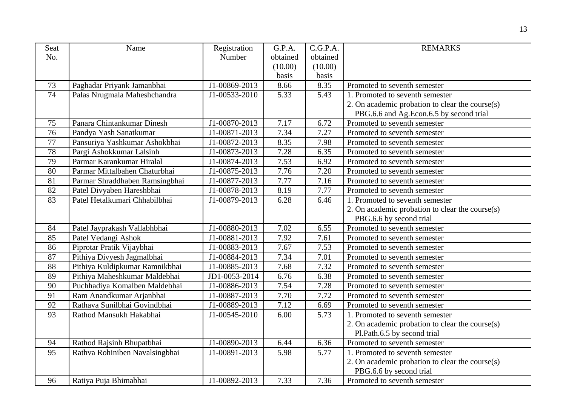| Seat            | Name                           | Registration  | G.P.A.   | C.G.P.A. | <b>REMARKS</b>                                  |
|-----------------|--------------------------------|---------------|----------|----------|-------------------------------------------------|
| No.             |                                | Number        | obtained | obtained |                                                 |
|                 |                                |               | (10.00)  | (10.00)  |                                                 |
|                 |                                |               | basis    | basis    |                                                 |
| 73              | Paghadar Priyank Jamanbhai     | J1-00869-2013 | 8.66     | 8.35     | Promoted to seventh semester                    |
| 74              | Palas Nrugmala Maheshchandra   | J1-00533-2010 | 5.33     | 5.43     | 1. Promoted to seventh semester                 |
|                 |                                |               |          |          | 2. On academic probation to clear the course(s) |
|                 |                                |               |          |          | PBG.6.6 and Ag.Econ.6.5 by second trial         |
| 75              | Panara Chintankumar Dinesh     | J1-00870-2013 | 7.17     | 6.72     | Promoted to seventh semester                    |
| $\overline{76}$ | Pandya Yash Sanatkumar         | J1-00871-2013 | 7.34     | 7.27     | Promoted to seventh semester                    |
| 77              | Pansuriya Yashkumar Ashokbhai  | J1-00872-2013 | 8.35     | 7.98     | Promoted to seventh semester                    |
| 78              | Pargi Ashokkumar Lalsinh       | J1-00873-2013 | 7.28     | 6.35     | Promoted to seventh semester                    |
| 79              | Parmar Karankumar Hiralal      | J1-00874-2013 | 7.53     | 6.92     | Promoted to seventh semester                    |
| 80              | Parmar Mittalbahen Chaturbhai  | J1-00875-2013 | 7.76     | 7.20     | Promoted to seventh semester                    |
| 81              | Parmar Shraddhaben Ramsingbhai | J1-00877-2013 | 7.77     | 7.16     | Promoted to seventh semester                    |
| 82              | Patel Divyaben Hareshbhai      | J1-00878-2013 | 8.19     | 7.77     | Promoted to seventh semester                    |
| 83              | Patel Hetalkumari Chhabilbhai  | J1-00879-2013 | 6.28     | 6.46     | 1. Promoted to seventh semester                 |
|                 |                                |               |          |          | 2. On academic probation to clear the course(s) |
|                 |                                |               |          |          | PBG.6.6 by second trial                         |
| 84              | Patel Jayprakash Vallabhbhai   | J1-00880-2013 | 7.02     | 6.55     | Promoted to seventh semester                    |
| 85              | Patel Vedangi Ashok            | J1-00881-2013 | 7.92     | 7.61     | Promoted to seventh semester                    |
| 86              | Piprotar Pratik Vijaybhai      | J1-00883-2013 | 7.67     | 7.53     | Promoted to seventh semester                    |
| 87              | Pithiya Divyesh Jagmalbhai     | J1-00884-2013 | 7.34     | 7.01     | Promoted to seventh semester                    |
| $\overline{88}$ | Pithiya Kuldipkumar Ramnikbhai | J1-00885-2013 | 7.68     | 7.32     | Promoted to seventh semester                    |
| 89              | Pithiya Maheshkumar Maldebhai  | JD1-0053-2014 | 6.76     | 6.38     | Promoted to seventh semester                    |
| 90              | Puchhadiya Komalben Maldebhai  | J1-00886-2013 | 7.54     | 7.28     | Promoted to seventh semester                    |
| 91              | Ram Anandkumar Arjanbhai       | J1-00887-2013 | 7.70     | 7.72     | Promoted to seventh semester                    |
| 92              | Rathava Sunilbhai Govindbhai   | J1-00889-2013 | 7.12     | 6.69     | Promoted to seventh semester                    |
| 93              | Rathod Mansukh Hakabhai        | J1-00545-2010 | 6.00     | 5.73     | 1. Promoted to seventh semester                 |
|                 |                                |               |          |          | 2. On academic probation to clear the course(s) |
|                 |                                |               |          |          | Pl.Path.6.5 by second trial                     |
| 94              | Rathod Rajsinh Bhupatbhai      | J1-00890-2013 | 6.44     | 6.36     | Promoted to seventh semester                    |
| 95              | Rathva Rohiniben Navalsingbhai | J1-00891-2013 | 5.98     | 5.77     | 1. Promoted to seventh semester                 |
|                 |                                |               |          |          | 2. On academic probation to clear the course(s) |
|                 |                                |               |          |          | PBG.6.6 by second trial                         |
| 96              | Ratiya Puja Bhimabhai          | J1-00892-2013 | 7.33     | 7.36     | Promoted to seventh semester                    |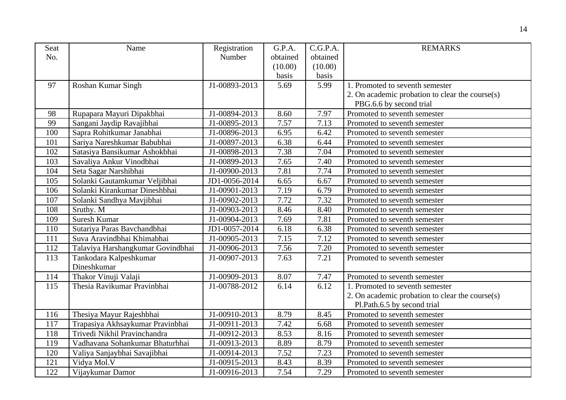| Seat | Name                              | Registration  | G.P.A.   | C.G.P.A. | <b>REMARKS</b>                                  |
|------|-----------------------------------|---------------|----------|----------|-------------------------------------------------|
| No.  |                                   | Number        | obtained | obtained |                                                 |
|      |                                   |               | (10.00)  | (10.00)  |                                                 |
|      |                                   |               | basis    | basis    |                                                 |
| 97   | Roshan Kumar Singh                | J1-00893-2013 | 5.69     | 5.99     | 1. Promoted to seventh semester                 |
|      |                                   |               |          |          | 2. On academic probation to clear the course(s) |
|      |                                   |               |          |          | PBG.6.6 by second trial                         |
| 98   | Rupapara Mayuri Dipakbhai         | J1-00894-2013 | 8.60     | 7.97     | Promoted to seventh semester                    |
| 99   | Sangani Jaydip Ravajibhai         | J1-00895-2013 | 7.57     | 7.13     | Promoted to seventh semester                    |
| 100  | Sapra Rohitkumar Janabhai         | J1-00896-2013 | 6.95     | 6.42     | Promoted to seventh semester                    |
| 101  | Sariya Nareshkumar Babubhai       | J1-00897-2013 | 6.38     | 6.44     | Promoted to seventh semester                    |
| 102  | Satasiya Bansikumar Ashokbhai     | J1-00898-2013 | 7.38     | 7.04     | Promoted to seventh semester                    |
| 103  | Savaliya Ankur Vinodbhai          | J1-00899-2013 | 7.65     | 7.40     | Promoted to seventh semester                    |
| 104  | Seta Sagar Narshibhai             | J1-00900-2013 | 7.81     | 7.74     | Promoted to seventh semester                    |
| 105  | Solanki Gautamkumar Veljibhai     | JD1-0056-2014 | 6.65     | 6.67     | Promoted to seventh semester                    |
| 106  | Solanki Kirankumar Dineshbhai     | J1-00901-2013 | 7.19     | 6.79     | Promoted to seventh semester                    |
| 107  | Solanki Sandhya Mavjibhai         | J1-00902-2013 | 7.72     | 7.32     | Promoted to seventh semester                    |
| 108  | Sruthy. M                         | J1-00903-2013 | 8.46     | 8.40     | Promoted to seventh semester                    |
| 109  | Suresh Kumar                      | J1-00904-2013 | 7.69     | 7.81     | Promoted to seventh semester                    |
| 110  | Sutariya Paras Bavchandbhai       | JD1-0057-2014 | 6.18     | 6.38     | Promoted to seventh semester                    |
| 111  | Suva Aravindbhai Khimabhai        | J1-00905-2013 | 7.15     | 7.12     | Promoted to seventh semester                    |
| 112  | Talaviya Harshangkumar Govindbhai | J1-00906-2013 | 7.56     | 7.20     | Promoted to seventh semester                    |
| 113  | Tankodara Kalpeshkumar            | J1-00907-2013 | 7.63     | 7.21     | Promoted to seventh semester                    |
|      | Dineshkumar                       |               |          |          |                                                 |
| 114  | Thakor Vinuji Valaji              | J1-00909-2013 | 8.07     | 7.47     | Promoted to seventh semester                    |
| 115  | Thesia Ravikumar Pravinbhai       | J1-00788-2012 | 6.14     | 6.12     | 1. Promoted to seventh semester                 |
|      |                                   |               |          |          | 2. On academic probation to clear the course(s) |
|      |                                   |               |          |          | Pl.Path.6.5 by second trial                     |
| 116  | Thesiya Mayur Rajeshbhai          | J1-00910-2013 | 8.79     | 8.45     | Promoted to seventh semester                    |
| 117  | Trapasiya Akhsaykumar Pravinbhai  | J1-00911-2013 | 7.42     | 6.68     | Promoted to seventh semester                    |
| 118  | Trivedi Nikhil Pravinchandra      | J1-00912-2013 | 8.53     | 8.16     | Promoted to seventh semester                    |
| 119  | Vadhavana Sohankumar Bhaturbhai   | J1-00913-2013 | 8.89     | 8.79     | Promoted to seventh semester                    |
| 120  | Valiya Sanjaybhai Savajibhai      | J1-00914-2013 | 7.52     | 7.23     | Promoted to seventh semester                    |
| 121  | Vidya Mol.V                       | J1-00915-2013 | 8.43     | 8.39     | Promoted to seventh semester                    |
| 122  | Vijaykumar Damor                  | J1-00916-2013 | 7.54     | 7.29     | Promoted to seventh semester                    |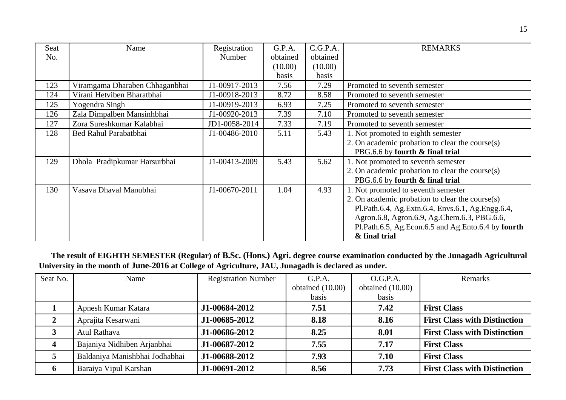| Seat | Name                           | Registration  | G.P.A.   | C.G.P.A. | <b>REMARKS</b>                                     |
|------|--------------------------------|---------------|----------|----------|----------------------------------------------------|
| No.  |                                | Number        | obtained | obtained |                                                    |
|      |                                |               | (10.00)  | (10.00)  |                                                    |
|      |                                |               | basis    | basis    |                                                    |
| 123  | Viramgama Dharaben Chhaganbhai | J1-00917-2013 | 7.56     | 7.29     | Promoted to seventh semester                       |
| 124  | Virani Hetviben Bharatbhai     | J1-00918-2013 | 8.72     | 8.58     | Promoted to seventh semester                       |
| 125  | Yogendra Singh                 | J1-00919-2013 | 6.93     | 7.25     | Promoted to seventh semester                       |
| 126  | Zala Dimpalben Mansinhbhai     | J1-00920-2013 | 7.39     | 7.10     | Promoted to seventh semester                       |
| 127  | Zora Sureshkumar Kalabhai      | JD1-0058-2014 | 7.33     | 7.19     | Promoted to seventh semester                       |
| 128  | Bed Rahul Parabatbhai          | J1-00486-2010 | 5.11     | 5.43     | 1. Not promoted to eighth semester                 |
|      |                                |               |          |          | 2. On academic probation to clear the course(s)    |
|      |                                |               |          |          | PBG.6.6 by fourth & final trial                    |
| 129  | Dhola Pradipkumar Harsurbhai   | J1-00413-2009 | 5.43     | 5.62     | 1. Not promoted to seventh semester                |
|      |                                |               |          |          | 2. On academic probation to clear the course(s)    |
|      |                                |               |          |          | PBG.6.6 by fourth & final trial                    |
| 130  | Vasava Dhaval Manubhai         | J1-00670-2011 | 1.04     | 4.93     | 1. Not promoted to seventh semester                |
|      |                                |               |          |          | 2. On academic probation to clear the course(s)    |
|      |                                |               |          |          | Pl.Path.6.4, Ag.Extn.6.4, Envs.6.1, Ag.Engg.6.4,   |
|      |                                |               |          |          | Agron.6.8, Agron.6.9, Ag.Chem.6.3, PBG.6.6,        |
|      |                                |               |          |          | Pl.Path.6.5, Ag.Econ.6.5 and Ag.Ento.6.4 by fourth |
|      |                                |               |          |          | & final trial                                      |

 **The result of EIGHTH SEMESTER (Regular) of B.Sc. (Hons.) Agri. degree course examination conducted by the Junagadh Agricultural University in the month of June-2016 at College of Agriculture, JAU, Junagadh is declared as under.**

| Seat No.                | Name                           | <b>Registration Number</b> | G.P.A.           | O.G.P.A.         | Remarks                             |
|-------------------------|--------------------------------|----------------------------|------------------|------------------|-------------------------------------|
|                         |                                |                            | obtained (10.00) | obtained (10.00) |                                     |
|                         |                                |                            | basis            | basis            |                                     |
|                         | Apnesh Kumar Katara            | J1-00684-2012              | 7.51             | 7.42             | <b>First Class</b>                  |
|                         | Aprajita Kesarwani             | J1-00685-2012              | 8.18             | 8.16             | <b>First Class with Distinction</b> |
|                         | Atul Rathava                   | J1-00686-2012              | 8.25             | 8.01             | <b>First Class with Distinction</b> |
| $\overline{\mathbf{4}}$ | Bajaniya Nidhiben Arjanbhai    | J1-00687-2012              | 7.55             | 7.17             | <b>First Class</b>                  |
|                         | Baldaniya Manishbhai Jodhabhai | J1-00688-2012              | 7.93             | 7.10             | <b>First Class</b>                  |
| 6                       | Baraiya Vipul Karshan          | J1-00691-2012              | 8.56             | 7.73             | <b>First Class with Distinction</b> |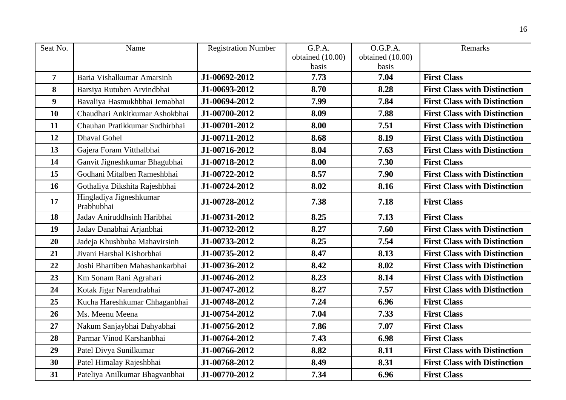| Seat No.       | Name                                  | <b>Registration Number</b> | G.P.A.           | O.G.P.A.         | Remarks                             |
|----------------|---------------------------------------|----------------------------|------------------|------------------|-------------------------------------|
|                |                                       |                            | obtained (10.00) | obtained (10.00) |                                     |
|                |                                       |                            | basis            | basis            |                                     |
| $\overline{7}$ | Baria Vishalkumar Amarsinh            | J1-00692-2012              | 7.73             | 7.04             | <b>First Class</b>                  |
| 8              | Barsiya Rutuben Arvindbhai            | J1-00693-2012              | 8.70             | 8.28             | <b>First Class with Distinction</b> |
| 9              | Bavaliya Hasmukhbhai Jemabhai         | J1-00694-2012              | 7.99             | 7.84             | <b>First Class with Distinction</b> |
| 10             | Chaudhari Ankitkumar Ashokbhai        | J1-00700-2012              | 8.09             | 7.88             | <b>First Class with Distinction</b> |
| 11             | Chauhan Pratikkumar Sudhirbhai        | J1-00701-2012              | 8.00             | 7.51             | <b>First Class with Distinction</b> |
| 12             | <b>Dhaval Gohel</b>                   | J1-00711-2012              | 8.68             | 8.19             | <b>First Class with Distinction</b> |
| 13             | Gajera Foram Vitthalbhai              | J1-00716-2012              | 8.04             | 7.63             | <b>First Class with Distinction</b> |
| 14             | Ganvit Jigneshkumar Bhagubhai         | J1-00718-2012              | 8.00             | 7.30             | <b>First Class</b>                  |
| 15             | Godhani Mitalben Rameshbhai           | J1-00722-2012              | 8.57             | 7.90             | <b>First Class with Distinction</b> |
| 16             | Gothaliya Dikshita Rajeshbhai         | J1-00724-2012              | 8.02             | 8.16             | <b>First Class with Distinction</b> |
| 17             | Hingladiya Jigneshkumar<br>Prabhubhai | J1-00728-2012              | 7.38             | 7.18             | <b>First Class</b>                  |
| 18             | Jadav Aniruddhsinh Haribhai           | J1-00731-2012              | 8.25             | 7.13             | <b>First Class</b>                  |
| 19             | Jadav Danabhai Arjanbhai              | J1-00732-2012              | 8.27             | 7.60             | <b>First Class with Distinction</b> |
| 20             | Jadeja Khushbuba Mahavirsinh          | J1-00733-2012              | 8.25             | 7.54             | <b>First Class with Distinction</b> |
| 21             | Jivani Harshal Kishorbhai             | J1-00735-2012              | 8.47             | 8.13             | <b>First Class with Distinction</b> |
| 22             | Joshi Bhartiben Mahashankarbhai       | J1-00736-2012              | 8.42             | 8.02             | <b>First Class with Distinction</b> |
| 23             | Km Sonam Rani Agrahari                | J1-00746-2012              | 8.23             | 8.14             | <b>First Class with Distinction</b> |
| 24             | Kotak Jigar Narendrabhai              | J1-00747-2012              | 8.27             | 7.57             | <b>First Class with Distinction</b> |
| 25             | Kucha Hareshkumar Chhaganbhai         | J1-00748-2012              | 7.24             | 6.96             | <b>First Class</b>                  |
| 26             | Ms. Meenu Meena                       | J1-00754-2012              | 7.04             | 7.33             | <b>First Class</b>                  |
| 27             | Nakum Sanjaybhai Dahyabhai            | J1-00756-2012              | 7.86             | 7.07             | <b>First Class</b>                  |
| 28             | Parmar Vinod Karshanbhai              | J1-00764-2012              | 7.43             | 6.98             | <b>First Class</b>                  |
| 29             | Patel Divya Sunilkumar                | J1-00766-2012              | 8.82             | 8.11             | <b>First Class with Distinction</b> |
| 30             | Patel Himalay Rajeshbhai              | J1-00768-2012              | 8.49             | 8.31             | <b>First Class with Distinction</b> |
| 31             | Pateliya Anilkumar Bhagvanbhai        | J1-00770-2012              | 7.34             | 6.96             | <b>First Class</b>                  |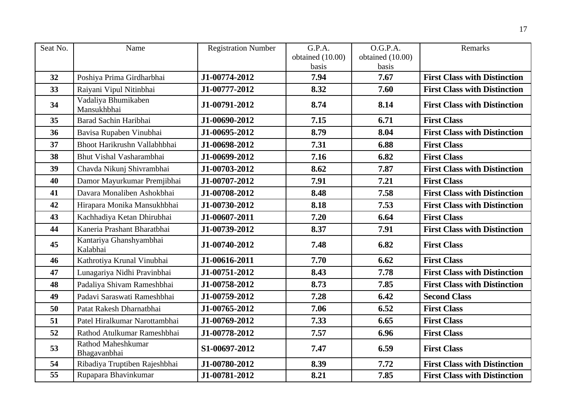| Seat No. | Name                                | <b>Registration Number</b> | G.P.A.           | O.G.P.A.         | Remarks                             |
|----------|-------------------------------------|----------------------------|------------------|------------------|-------------------------------------|
|          |                                     |                            | obtained (10.00) | obtained (10.00) |                                     |
|          |                                     |                            | basis            | basis            |                                     |
| 32       | Poshiya Prima Girdharbhai           | J1-00774-2012              | 7.94             | 7.67             | <b>First Class with Distinction</b> |
| 33       | Raiyani Vipul Nitinbhai             | J1-00777-2012              | 8.32             | 7.60             | <b>First Class with Distinction</b> |
| 34       | Vadaliya Bhumikaben<br>Mansukhbhai  | J1-00791-2012              | 8.74             | 8.14             | <b>First Class with Distinction</b> |
| 35       | Barad Sachin Haribhai               | J1-00690-2012              | 7.15             | 6.71             | <b>First Class</b>                  |
| 36       | Bavisa Rupaben Vinubhai             | J1-00695-2012              | 8.79             | 8.04             | <b>First Class with Distinction</b> |
| 37       | Bhoot Harikrushn Vallabhbhai        | J1-00698-2012              | 7.31             | 6.88             | <b>First Class</b>                  |
| 38       | Bhut Vishal Vasharambhai            | J1-00699-2012              | 7.16             | 6.82             | <b>First Class</b>                  |
| 39       | Chavda Nikunj Shivrambhai           | J1-00703-2012              | 8.62             | 7.87             | <b>First Class with Distinction</b> |
| 40       | Damor Mayurkumar Premjibhai         | J1-00707-2012              | 7.91             | 7.21             | <b>First Class</b>                  |
| 41       | Davara Monaliben Ashokbhai          | J1-00708-2012              | 8.48             | 7.58             | <b>First Class with Distinction</b> |
| 42       | Hirapara Monika Mansukhbhai         | J1-00730-2012              | 8.18             | 7.53             | <b>First Class with Distinction</b> |
| 43       | Kachhadiya Ketan Dhirubhai          | J1-00607-2011              | 7.20             | 6.64             | <b>First Class</b>                  |
| 44       | Kaneria Prashant Bharatbhai         | J1-00739-2012              | 8.37             | 7.91             | <b>First Class with Distinction</b> |
| 45       | Kantariya Ghanshyambhai<br>Kalabhai | J1-00740-2012              | 7.48             | 6.82             | <b>First Class</b>                  |
| 46       | Kathrotiya Krunal Vinubhai          | J1-00616-2011              | 7.70             | 6.62             | <b>First Class</b>                  |
| 47       | Lunagariya Nidhi Pravinbhai         | J1-00751-2012              | 8.43             | 7.78             | <b>First Class with Distinction</b> |
| 48       | Padaliya Shivam Rameshbhai          | J1-00758-2012              | 8.73             | 7.85             | <b>First Class with Distinction</b> |
| 49       | Padavi Saraswati Rameshbhai         | J1-00759-2012              | 7.28             | 6.42             | <b>Second Class</b>                 |
| 50       | Patat Rakesh Dharnatbhai            | J1-00765-2012              | 7.06             | 6.52             | <b>First Class</b>                  |
| 51       | Patel Hiralkumar Narottambhai       | J1-00769-2012              | 7.33             | 6.65             | <b>First Class</b>                  |
| 52       | Rathod Atulkumar Rameshbhai         | J1-00778-2012              | 7.57             | 6.96             | <b>First Class</b>                  |
| 53       | Rathod Maheshkumar<br>Bhagavanbhai  | S1-00697-2012              | 7.47             | 6.59             | <b>First Class</b>                  |
| 54       | Ribadiya Truptiben Rajeshbhai       | J1-00780-2012              | 8.39             | 7.72             | <b>First Class with Distinction</b> |
| 55       | Rupapara Bhavinkumar                | J1-00781-2012              | 8.21             | 7.85             | <b>First Class with Distinction</b> |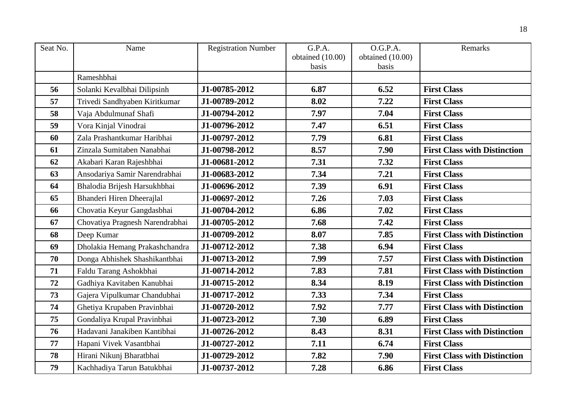| Seat No. | Name                            | <b>Registration Number</b> | G.P.A.           | O.G.P.A.         | Remarks                             |
|----------|---------------------------------|----------------------------|------------------|------------------|-------------------------------------|
|          |                                 |                            | obtained (10.00) | obtained (10.00) |                                     |
|          |                                 |                            | basis            | basis            |                                     |
|          | Rameshbhai                      |                            |                  |                  |                                     |
| 56       | Solanki Kevalbhai Dilipsinh     | J1-00785-2012              | 6.87             | 6.52             | <b>First Class</b>                  |
| 57       | Trivedi Sandhyaben Kiritkumar   | J1-00789-2012              | 8.02             | 7.22             | <b>First Class</b>                  |
| 58       | Vaja Abdulmunaf Shafi           | J1-00794-2012              | 7.97             | 7.04             | <b>First Class</b>                  |
| 59       | Vora Kinjal Vinodrai            | J1-00796-2012              | 7.47             | 6.51             | <b>First Class</b>                  |
| 60       | Zala Prashantkumar Haribhai     | J1-00797-2012              | 7.79             | 6.81             | <b>First Class</b>                  |
| 61       | Zinzala Sumitaben Nanabhai      | J1-00798-2012              | 8.57             | 7.90             | <b>First Class with Distinction</b> |
| 62       | Akabari Karan Rajeshbhai        | J1-00681-2012              | 7.31             | 7.32             | <b>First Class</b>                  |
| 63       | Ansodariya Samir Narendrabhai   | J1-00683-2012              | 7.34             | 7.21             | <b>First Class</b>                  |
| 64       | Bhalodia Brijesh Harsukhbhai    | J1-00696-2012              | 7.39             | 6.91             | <b>First Class</b>                  |
| 65       | Bhanderi Hiren Dheerajlal       | J1-00697-2012              | 7.26             | 7.03             | <b>First Class</b>                  |
| 66       | Chovatia Keyur Gangdasbhai      | J1-00704-2012              | 6.86             | 7.02             | <b>First Class</b>                  |
| 67       | Chovatiya Pragnesh Narendrabhai | J1-00705-2012              | 7.68             | 7.42             | <b>First Class</b>                  |
| 68       | Deep Kumar                      | J1-00709-2012              | 8.07             | 7.85             | <b>First Class with Distinction</b> |
| 69       | Dholakia Hemang Prakashchandra  | J1-00712-2012              | 7.38             | 6.94             | <b>First Class</b>                  |
| 70       | Donga Abhishek Shashikantbhai   | J1-00713-2012              | 7.99             | 7.57             | <b>First Class with Distinction</b> |
| 71       | Faldu Tarang Ashokbhai          | J1-00714-2012              | 7.83             | 7.81             | <b>First Class with Distinction</b> |
| 72       | Gadhiya Kavitaben Kanubhai      | J1-00715-2012              | 8.34             | 8.19             | <b>First Class with Distinction</b> |
| 73       | Gajera Vipulkumar Chandubhai    | J1-00717-2012              | 7.33             | 7.34             | <b>First Class</b>                  |
| 74       | Ghetiya Krupaben Pravinbhai     | J1-00720-2012              | 7.92             | 7.77             | <b>First Class with Distinction</b> |
| 75       | Gondaliya Krupal Pravinbhai     | J1-00723-2012              | 7.30             | 6.89             | <b>First Class</b>                  |
| 76       | Hadavani Janakiben Kantibhai    | J1-00726-2012              | 8.43             | 8.31             | <b>First Class with Distinction</b> |
| 77       | Hapani Vivek Vasantbhai         | J1-00727-2012              | 7.11             | 6.74             | <b>First Class</b>                  |
| 78       | Hirani Nikunj Bharatbhai        | J1-00729-2012              | 7.82             | 7.90             | <b>First Class with Distinction</b> |
| 79       | Kachhadiya Tarun Batukbhai      | J1-00737-2012              | 7.28             | 6.86             | <b>First Class</b>                  |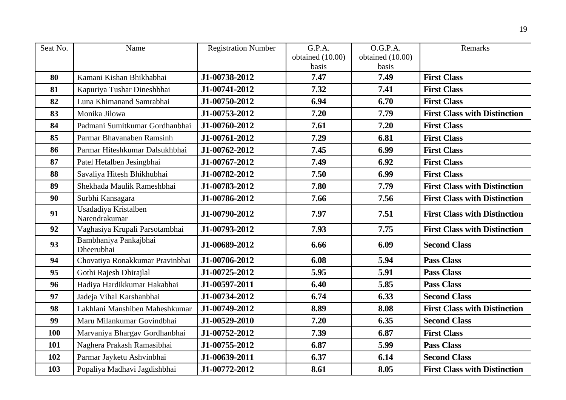| Seat No.   | Name                                  | <b>Registration Number</b> | G.P.A.           | O.G.P.A.         | Remarks                             |
|------------|---------------------------------------|----------------------------|------------------|------------------|-------------------------------------|
|            |                                       |                            | obtained (10.00) | obtained (10.00) |                                     |
|            |                                       |                            | basis            | basis            |                                     |
| 80         | Kamani Kishan Bhikhabhai              | J1-00738-2012              | 7.47             | 7.49             | <b>First Class</b>                  |
| 81         | Kapuriya Tushar Dineshbhai            | J1-00741-2012              | 7.32             | 7.41             | <b>First Class</b>                  |
| 82         | Luna Khimanand Samrabhai              | J1-00750-2012              | 6.94             | 6.70             | <b>First Class</b>                  |
| 83         | Monika Jilowa                         | J1-00753-2012              | 7.20             | 7.79             | <b>First Class with Distinction</b> |
| 84         | Padmani Sumitkumar Gordhanbhai        | J1-00760-2012              | 7.61             | 7.20             | <b>First Class</b>                  |
| 85         | Parmar Bhavanaben Ramsinh             | J1-00761-2012              | 7.29             | 6.81             | <b>First Class</b>                  |
| 86         | Parmar Hiteshkumar Dalsukhbhai        | J1-00762-2012              | 7.45             | 6.99             | <b>First Class</b>                  |
| 87         | Patel Hetalben Jesingbhai             | J1-00767-2012              | 7.49             | 6.92             | <b>First Class</b>                  |
| 88         | Savaliya Hitesh Bhikhubhai            | J1-00782-2012              | 7.50             | 6.99             | <b>First Class</b>                  |
| 89         | Shekhada Maulik Rameshbhai            | J1-00783-2012              | 7.80             | 7.79             | <b>First Class with Distinction</b> |
| 90         | Surbhi Kansagara                      | J1-00786-2012              | 7.66             | 7.56             | <b>First Class with Distinction</b> |
| 91         | Usadadiya Kristalben<br>Narendrakumar | J1-00790-2012              | 7.97             | 7.51             | <b>First Class with Distinction</b> |
| 92         | Vaghasiya Krupali Parsotambhai        | J1-00793-2012              | 7.93             | 7.75             | <b>First Class with Distinction</b> |
| 93         | Bambhaniya Pankajbhai<br>Dheerubhai   | J1-00689-2012              | 6.66             | 6.09             | <b>Second Class</b>                 |
| 94         | Chovatiya Ronakkumar Pravinbhai       | J1-00706-2012              | 6.08             | 5.94             | <b>Pass Class</b>                   |
| 95         | Gothi Rajesh Dhirajlal                | J1-00725-2012              | 5.95             | 5.91             | <b>Pass Class</b>                   |
| 96         | Hadiya Hardikkumar Hakabhai           | J1-00597-2011              | 6.40             | 5.85             | <b>Pass Class</b>                   |
| 97         | Jadeja Vihal Karshanbhai              | J1-00734-2012              | 6.74             | 6.33             | <b>Second Class</b>                 |
| 98         | Lakhlani Manshiben Maheshkumar        | J1-00749-2012              | 8.89             | 8.08             | <b>First Class with Distinction</b> |
| 99         | Maru Milankumar Govindbhai            | J1-00529-2010              | 7.20             | 6.35             | <b>Second Class</b>                 |
| <b>100</b> | Marvaniya Bhargav Gordhanbhai         | J1-00752-2012              | 7.39             | 6.87             | <b>First Class</b>                  |
| 101        | Naghera Prakash Ramasibhai            | J1-00755-2012              | 6.87             | 5.99             | <b>Pass Class</b>                   |
| 102        | Parmar Jayketu Ashvinbhai             | J1-00639-2011              | 6.37             | 6.14             | <b>Second Class</b>                 |
| 103        | Popaliya Madhavi Jagdishbhai          | J1-00772-2012              | 8.61             | 8.05             | <b>First Class with Distinction</b> |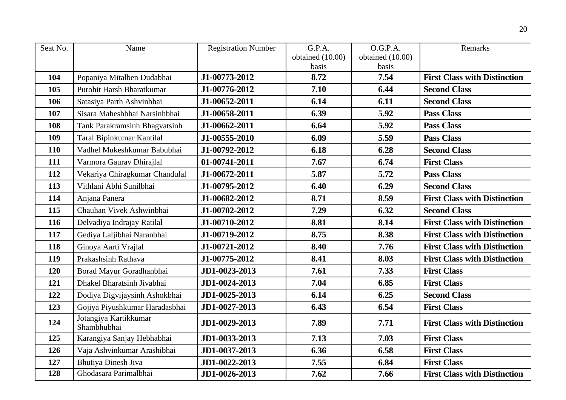| Seat No. | Name                                 | <b>Registration Number</b> | G.P.A.           | O.G.P.A.         | Remarks                             |
|----------|--------------------------------------|----------------------------|------------------|------------------|-------------------------------------|
|          |                                      |                            | obtained (10.00) | obtained (10.00) |                                     |
|          |                                      |                            | basis            | basis            |                                     |
| 104      | Popaniya Mitalben Dudabhai           | J1-00773-2012              | 8.72             | 7.54             | <b>First Class with Distinction</b> |
| 105      | Purohit Harsh Bharatkumar            | J1-00776-2012              | 7.10             | 6.44             | <b>Second Class</b>                 |
| 106      | Satasiya Parth Ashvinbhai            | J1-00652-2011              | 6.14             | 6.11             | <b>Second Class</b>                 |
| 107      | Sisara Maheshbhai Narsinhbhai        | J1-00658-2011              | 6.39             | 5.92             | <b>Pass Class</b>                   |
| 108      | Tank Parakramsinh Bhagvatsinh        | J1-00662-2011              | 6.64             | 5.92             | <b>Pass Class</b>                   |
| 109      | Taral Bipinkumar Kantilal            | J1-00555-2010              | 6.09             | 5.59             | <b>Pass Class</b>                   |
| 110      | Vadhel Mukeshkumar Babubhai          | J1-00792-2012              | 6.18             | 6.28             | <b>Second Class</b>                 |
| 111      | Varmora Gaurav Dhirajlal             | 01-00741-2011              | 7.67             | 6.74             | <b>First Class</b>                  |
| 112      | Vekariya Chiragkumar Chandulal       | J1-00672-2011              | 5.87             | 5.72             | <b>Pass Class</b>                   |
| 113      | Vithlani Abhi Sunilbhai              | J1-00795-2012              | 6.40             | 6.29             | <b>Second Class</b>                 |
| 114      | Anjana Panera                        | J1-00682-2012              | 8.71             | 8.59             | <b>First Class with Distinction</b> |
| 115      | Chauhan Vivek Ashwinbhai             | J1-00702-2012              | 7.29             | 6.32             | <b>Second Class</b>                 |
| 116      | Delvadiya Indrajay Ratilal           | J1-00710-2012              | 8.81             | 8.14             | <b>First Class with Distinction</b> |
| 117      | Gediya Laljibhai Naranbhai           | J1-00719-2012              | 8.75             | 8.38             | <b>First Class with Distinction</b> |
| 118      | Ginoya Aarti Vrajlal                 | J1-00721-2012              | 8.40             | 7.76             | <b>First Class with Distinction</b> |
| 119      | Prakashsinh Rathava                  | J1-00775-2012              | 8.41             | 8.03             | <b>First Class with Distinction</b> |
| 120      | Borad Mayur Goradhanbhai             | JD1-0023-2013              | 7.61             | 7.33             | <b>First Class</b>                  |
| 121      | Dhakel Bharatsinh Jivabhai           | JD1-0024-2013              | 7.04             | 6.85             | <b>First Class</b>                  |
| 122      | Dodiya Digvijaysinh Ashokbhai        | JD1-0025-2013              | 6.14             | 6.25             | <b>Second Class</b>                 |
| 123      | Gojiya Piyushkumar Haradasbhai       | JD1-0027-2013              | 6.43             | 6.54             | <b>First Class</b>                  |
| 124      | Jotangiya Kartikkumar<br>Shambhubhai | JD1-0029-2013              | 7.89             | 7.71             | <b>First Class with Distinction</b> |
| 125      | Karangiya Sanjay Hebhabhai           | JD1-0033-2013              | 7.13             | 7.03             | <b>First Class</b>                  |
| 126      | Vaja Ashvinkumar Arashibhai          | JD1-0037-2013              | 6.36             | 6.58             | <b>First Class</b>                  |
| 127      | <b>Bhutiya Dinesh Jiva</b>           | JD1-0022-2013              | 7.55             | 6.84             | <b>First Class</b>                  |
| 128      | Ghodasara Parimalbhai                | JD1-0026-2013              | 7.62             | 7.66             | <b>First Class with Distinction</b> |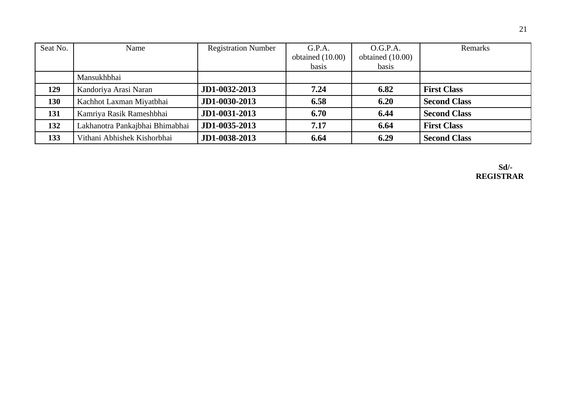| Seat No. | Name                            | <b>Registration Number</b> | G.P.A.             | O.G.P.A.           | Remarks             |
|----------|---------------------------------|----------------------------|--------------------|--------------------|---------------------|
|          |                                 |                            | obtained $(10.00)$ | obtained $(10.00)$ |                     |
|          |                                 |                            | basis              | basis              |                     |
|          | Mansukhbhai                     |                            |                    |                    |                     |
| 129      | Kandoriya Arasi Naran           | JD1-0032-2013              | 7.24               | 6.82               | <b>First Class</b>  |
| 130      | Kachhot Laxman Miyatbhai        | JD1-0030-2013              | 6.58               | 6.20               | <b>Second Class</b> |
| 131      | Kamriya Rasik Rameshbhai        | JD1-0031-2013              | 6.70               | 6.44               | <b>Second Class</b> |
| 132      | Lakhanotra Pankajbhai Bhimabhai | JD1-0035-2013              | 7.17               | 6.64               | <b>First Class</b>  |
| 133      | Vithani Abhishek Kishorbhai     | JD1-0038-2013              | 6.64               | 6.29               | <b>Second Class</b> |

 **Sd/- REGISTRAR**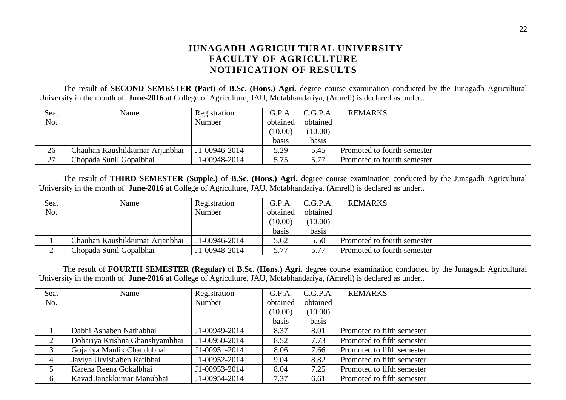## **JUNAGADH AGRICULTURAL UNIVERSITY FACULTY OF AGRICULTURE NOTIFICATION OF RESULTS**

The result of **SECOND SEMESTER (Part)** of **B.Sc. (Hons.) Agri.** degree course examination conducted by the Junagadh Agricultural University in the month of **June-2016** at College of Agriculture, JAU, Motabhandariya, (Amreli) is declared as under..

| Seat | Name                           | Registration  | G.P.A.   | C.G.P.A. | <b>REMARKS</b>              |
|------|--------------------------------|---------------|----------|----------|-----------------------------|
| No.  |                                | Number        | obtained | obtained |                             |
|      |                                |               | (10.00)  | (10.00)  |                             |
|      |                                |               | basis    | basis    |                             |
| 26   | Chauhan Kaushikkumar Arjanbhai | J1-00946-2014 | 5.29     | 5.45     | Promoted to fourth semester |
| 27   | Chopada Sunil Gopalbhai        | J1-00948-2014 | 5.75     | 5.77     | Promoted to fourth semester |

The result of **THIRD SEMESTER (Supple.)** of **B.Sc. (Hons.) Agri.** degree course examination conducted by the Junagadh Agricultural University in the month of **June-2016** at College of Agriculture, JAU, Motabhandariya, (Amreli) is declared as under..

| Seat | Name                           | Registration  | G.P.A.   | C.G.P.A. | <b>REMARKS</b>              |
|------|--------------------------------|---------------|----------|----------|-----------------------------|
| No.  |                                | Number        | obtained | obtained |                             |
|      |                                |               | (10.00)  | (10.00)  |                             |
|      |                                |               | basis    | basis    |                             |
|      | Chauhan Kaushikkumar Arjanbhai | J1-00946-2014 | 5.62     | 5.50     | Promoted to fourth semester |
|      | Chopada Sunil Gopalbhai        | J1-00948-2014 | 5.77     | 5.77     | Promoted to fourth semester |

The result of **FOURTH SEMESTER (Regular)** of **B.Sc. (Hons.) Agri.** degree course examination conducted by the Junagadh Agricultural University in the month of **June-2016** at College of Agriculture, JAU, Motabhandariya, (Amreli) is declared as under..

| <b>Seat</b> | Name                           | Registration  | G.P.A.   | C.G.P.A. | <b>REMARKS</b>             |
|-------------|--------------------------------|---------------|----------|----------|----------------------------|
| No.         |                                | Number        | obtained | obtained |                            |
|             |                                |               | (10.00)  | (10.00)  |                            |
|             |                                |               | basis    | basis    |                            |
|             | Dabhi Ashaben Nathabhai        | J1-00949-2014 | 8.37     | 8.01     | Promoted to fifth semester |
|             | Dobariya Krishna Ghanshyambhai | J1-00950-2014 | 8.52     | 7.73     | Promoted to fifth semester |
| 3           | Gojariya Maulik Chandubhai     | J1-00951-2014 | 8.06     | 7.66     | Promoted to fifth semester |
| 4           | Javiya Urvishaben Ratibhai     | J1-00952-2014 | 9.04     | 8.82     | Promoted to fifth semester |
| C           | Karena Reena Gokalbhai         | J1-00953-2014 | 8.04     | 7.25     | Promoted to fifth semester |
| 6           | Kavad Janakkumar Manubhai      | J1-00954-2014 | 7.37     | 6.61     | Promoted to fifth semester |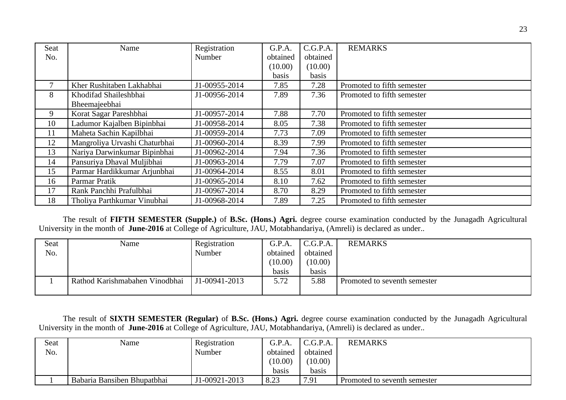| <b>Seat</b> | Name                          | Registration  | G.P.A.   | C.G.P.A. | <b>REMARKS</b>             |
|-------------|-------------------------------|---------------|----------|----------|----------------------------|
| No.         |                               | Number        | obtained | obtained |                            |
|             |                               |               | (10.00)  | (10.00)  |                            |
|             |                               |               | basis    | basis    |                            |
| 7           | Kher Rushitaben Lakhabhai     | J1-00955-2014 | 7.85     | 7.28     | Promoted to fifth semester |
| 8           | Khodifad Shaileshbhai         | J1-00956-2014 | 7.89     | 7.36     | Promoted to fifth semester |
|             | Bheemajeebhai                 |               |          |          |                            |
| 9           | Korat Sagar Pareshbhai        | J1-00957-2014 | 7.88     | 7.70     | Promoted to fifth semester |
| 10          | Ladumor Kajalben Bipinbhai    | J1-00958-2014 | 8.05     | 7.38     | Promoted to fifth semester |
| 11          | Maheta Sachin Kapilbhai       | J1-00959-2014 | 7.73     | 7.09     | Promoted to fifth semester |
| 12          | Mangroliya Urvashi Chaturbhai | J1-00960-2014 | 8.39     | 7.99     | Promoted to fifth semester |
| 13          | Nariya Darwinkumar Bipinbhai  | J1-00962-2014 | 7.94     | 7.36     | Promoted to fifth semester |
| 14          | Pansuriya Dhaval Muljibhai    | J1-00963-2014 | 7.79     | 7.07     | Promoted to fifth semester |
| 15          | Parmar Hardikkumar Arjunbhai  | J1-00964-2014 | 8.55     | 8.01     | Promoted to fifth semester |
| 16          | Parmar Pratik                 | J1-00965-2014 | 8.10     | 7.62     | Promoted to fifth semester |
| 17          | Rank Panchhi Prafulbhai       | J1-00967-2014 | 8.70     | 8.29     | Promoted to fifth semester |
| 18          | Tholiya Parthkumar Vinubhai   | J1-00968-2014 | 7.89     | 7.25     | Promoted to fifth semester |

The result of **FIFTH SEMESTER (Supple.)** of **B.Sc. (Hons.) Agri.** degree course examination conducted by the Junagadh Agricultural University in the month of **June-2016** at College of Agriculture, JAU, Motabhandariya, (Amreli) is declared as under..

| Seat | Name                           | Registration  | G.P.A.   | C.G.P.A. | <b>REMARKS</b>               |
|------|--------------------------------|---------------|----------|----------|------------------------------|
| No.  |                                | Number        | obtained | obtained |                              |
|      |                                |               | (10.00)  | (10.00)  |                              |
|      |                                |               | basis    | basis    |                              |
|      | Rathod Karishmabahen Vinodbhai | J1-00941-2013 | 5.72     | 5.88     | Promoted to seventh semester |
|      |                                |               |          |          |                              |

The result of **SIXTH SEMESTER (Regular)** of **B.Sc. (Hons.) Agri.** degree course examination conducted by the Junagadh Agricultural University in the month of **June-2016** at College of Agriculture, JAU, Motabhandariya, (Amreli) is declared as under..

| Seat | Name                        | Registration  | G.P.A.   | C.G.P.A. | <b>REMARKS</b>                 |
|------|-----------------------------|---------------|----------|----------|--------------------------------|
| No.  |                             | Number        | obtained | obtained |                                |
|      |                             |               | (10.00)  | (10.00)  |                                |
|      |                             |               | basis    | basis    |                                |
|      | Babaria Bansiben Bhupatbhai | J1-00921-2013 | 8.23     | 7.91     | I Promoted to seventh semester |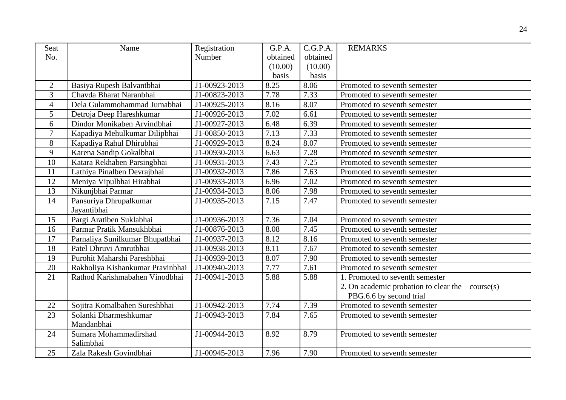| Seat             | Name                                  | Registration  | G.P.A.   | C.G.P.A. | <b>REMARKS</b>                                                             |
|------------------|---------------------------------------|---------------|----------|----------|----------------------------------------------------------------------------|
| No.              |                                       | Number        | obtained | obtained |                                                                            |
|                  |                                       |               | (10.00)  | (10.00)  |                                                                            |
|                  |                                       |               | basis    | basis    |                                                                            |
| $\overline{2}$   | Basiya Rupesh Balvantbhai             | J1-00923-2013 | 8.25     | 8.06     | Promoted to seventh semester                                               |
| 3                | Chavda Bharat Naranbhai               | J1-00823-2013 | 7.78     | 7.33     | Promoted to seventh semester                                               |
| $\overline{4}$   | Dela Gulammohammad Jumabhai           | J1-00925-2013 | 8.16     | 8.07     | Promoted to seventh semester                                               |
| 5                | Detroja Deep Hareshkumar              | J1-00926-2013 | 7.02     | 6.61     | Promoted to seventh semester                                               |
| $6\phantom{1}$   | Dindor Monikaben Arvindbhai           | J1-00927-2013 | 6.48     | 6.39     | Promoted to seventh semester                                               |
| $\overline{7}$   | Kapadiya Mehulkumar Dilipbhai         | J1-00850-2013 | 7.13     | 7.33     | Promoted to seventh semester                                               |
| 8                | Kapadiya Rahul Dhirubhai              | J1-00929-2013 | 8.24     | 8.07     | Promoted to seventh semester                                               |
| $\boldsymbol{9}$ | Karena Sandip Gokalbhai               | J1-00930-2013 | 6.63     | 7.28     | Promoted to seventh semester                                               |
| 10               | Katara Rekhaben Parsingbhai           | J1-00931-2013 | 7.43     | 7.25     | Promoted to seventh semester                                               |
| 11               | Lathiya Pinalben Devrajbhai           | J1-00932-2013 | 7.86     | 7.63     | Promoted to seventh semester                                               |
| 12               | Meniya Vipulbhai Hirabhai             | J1-00933-2013 | 6.96     | 7.02     | Promoted to seventh semester                                               |
| 13               | Nikunjbhai Parmar                     | J1-00934-2013 | 8.06     | 7.98     | Promoted to seventh semester                                               |
| 14               | Pansuriya Dhrupalkumar<br>Jayantibhai | J1-00935-2013 | 7.15     | 7.47     | Promoted to seventh semester                                               |
| 15               | Pargi Aratiben Suklabhai              | J1-00936-2013 | 7.36     | 7.04     | Promoted to seventh semester                                               |
| 16               | Parmar Pratik Mansukhbhai             | J1-00876-2013 | 8.08     | 7.45     | Promoted to seventh semester                                               |
| 17               | Parnaliya Sunilkumar Bhupatbhai       | J1-00937-2013 | 8.12     | 8.16     | Promoted to seventh semester                                               |
| 18               | Patel Dhruvi Amrutbhai                | J1-00938-2013 | 8.11     | 7.67     | Promoted to seventh semester                                               |
| 19               | Purohit Maharshi Pareshbhai           | J1-00939-2013 | 8.07     | 7.90     | Promoted to seventh semester                                               |
| 20               | Rakholiya Kishankumar Pravinbhai      | J1-00940-2013 | 7.77     | 7.61     | Promoted to seventh semester                                               |
| 21               | Rathod Karishmabahen Vinodbhai        | J1-00941-2013 | 5.88     | 5.88     | 1. Promoted to seventh semester                                            |
|                  |                                       |               |          |          | 2. On academic probation to clear the course(s)<br>PBG.6.6 by second trial |
| 22               | Sojitra Komalbahen Sureshbhai         | J1-00942-2013 | 7.74     | 7.39     | Promoted to seventh semester                                               |
| 23               | Solanki Dharmeshkumar                 | J1-00943-2013 | 7.84     | 7.65     | Promoted to seventh semester                                               |
|                  | Mandanbhai                            |               |          |          |                                                                            |
| 24               | Sumara Mohammadirshad                 | J1-00944-2013 | 8.92     | 8.79     | Promoted to seventh semester                                               |
|                  | Salimbhai                             |               |          |          |                                                                            |
| 25               | Zala Rakesh Govindbhai                | J1-00945-2013 | 7.96     | 7.90     | Promoted to seventh semester                                               |